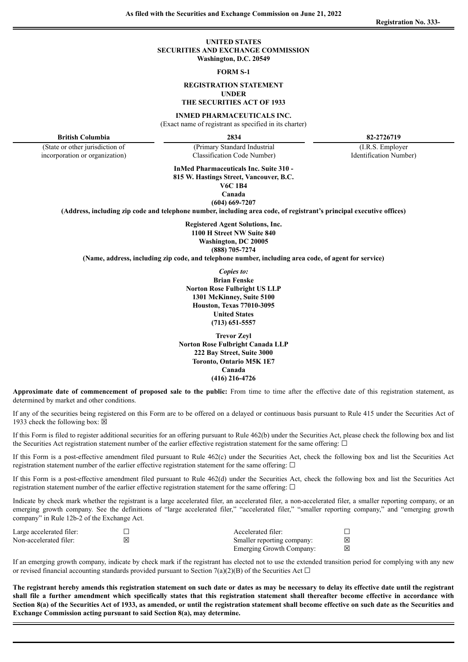# **UNITED STATES SECURITIES AND EXCHANGE COMMISSION Washington, D.C. 20549**

#### **FORM S-1**

#### **REGISTRATION STATEMENT UNDER**

# **THE SECURITIES ACT OF 1933**

# **INMED PHARMACEUTICALS INC.**

(Exact name of registrant as specified in its charter)

(Primary Standard Industrial

(State or other jurisdiction of incorporation or organization)

**British Columbia 2834 82-2726719**

(I.R.S. Employer Identification Number)

Classification Code Number) **InMed Pharmaceuticals Inc. Suite 310 -**

**815 W. Hastings Street, Vancouver, B.C. V6C 1B4**

**Canada**

**(604) 669-7207**

**(Address, including zip code and telephone number, including area code, of registrant's principal executive offices)**

**Registered Agent Solutions, Inc. 1100 H Street NW Suite 840 Washington, DC 20005 (888) 705-7274**

**(Name, address, including zip code, and telephone number, including area code, of agent for service)**

*Copies to:* **Brian Fenske Norton Rose Fulbright US LLP 1301 McKinney, Suite 5100 Houston, Texas 77010-3095 United States (713) 651-5557**

**Trevor Zeyl Norton Rose Fulbright Canada LLP 222 Bay Street, Suite 3000 Toronto, Ontario M5K 1E7 Canada (416) 216-4726**

**Approximate date of commencement of proposed sale to the public:** From time to time after the effective date of this registration statement, as determined by market and other conditions.

If any of the securities being registered on this Form are to be offered on a delayed or continuous basis pursuant to Rule 415 under the Securities Act of 1933 check the following box:  $\boxtimes$ 

If this Form is filed to register additional securities for an offering pursuant to Rule 462(b) under the Securities Act, please check the following box and list the Securities Act registration statement number of the earlier effective registration statement for the same offering:  $\Box$ 

If this Form is a post-effective amendment filed pursuant to Rule 462(c) under the Securities Act, check the following box and list the Securities Act registration statement number of the earlier effective registration statement for the same offering:  $\Box$ 

If this Form is a post-effective amendment filed pursuant to Rule 462(d) under the Securities Act, check the following box and list the Securities Act registration statement number of the earlier effective registration statement for the same offering:  $\Box$ 

Indicate by check mark whether the registrant is a large accelerated filer, an accelerated filer, a non-accelerated filer, a smaller reporting company, or an emerging growth company. See the definitions of "large accelerated filer," "accelerated filer," "smaller reporting company," and "emerging growth company" in Rule 12b-2 of the Exchange Act.

| Large accelerated filer: | Accelerated filer:         |   |
|--------------------------|----------------------------|---|
| Non-accelerated filer:   | Smaller reporting company: | ⊠ |
|                          | Emerging Growth Company:   | ⊠ |

If an emerging growth company, indicate by check mark if the registrant has elected not to use the extended transition period for complying with any new or revised financial accounting standards provided pursuant to Section 7(a)(2)(B) of the Securities Act  $\Box$ 

The registrant hereby amends this registration statement on such date or dates as may be necessary to delay its effective date until the registrant shall file a further amendment which specifically states that this registration statement shall thereafter become effective in accordance with Section 8(a) of the Securities Act of 1933, as amended, or until the registration statement shall become effective on such date as the Securities and **Exchange Commission acting pursuant to said Section 8(a), may determine.**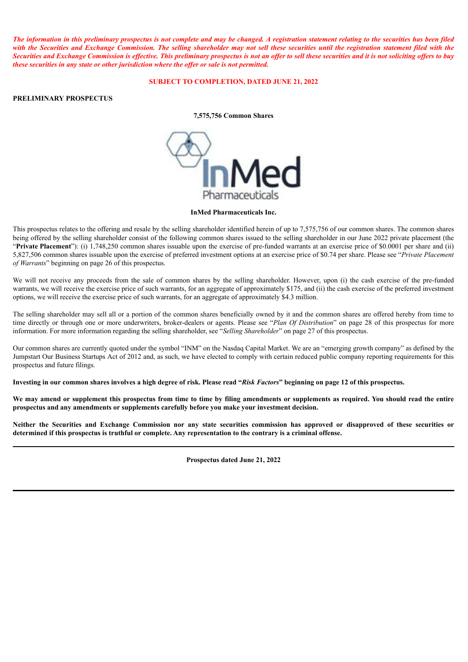The information in this preliminary prospectus is not complete and may be changed. A registration statement relating to the securities has been filed with the Securities and Exchange Commission. The selling shareholder may not sell these securities until the registration statement filed with the Securities and Exchange Commission is effective. This preliminary prospectus is not an offer to sell these securities and it is not soliciting offers to buy *these securities in any state or other jurisdiction where the of er or sale is not permitted.*

# **SUBJECT TO COMPLETION, DATED JUNE 21, 2022**

# **PRELIMINARY PROSPECTUS**

# **7,575,756 Common Shares**



# **InMed Pharmaceuticals Inc.**

This prospectus relates to the offering and resale by the selling shareholder identified herein of up to 7,575,756 of our common shares. The common shares being offered by the selling shareholder consist of the following common shares issued to the selling shareholder in our June 2022 private placement (the "**Private Placement**"): (i) 1,748,250 common shares issuable upon the exercise of pre-funded warrants at an exercise price of \$0.0001 per share and (ii) 5,827,506 common shares issuable upon the exercise of preferred investment options at an exercise price of \$0.74 per share. Please see "*Private Placement of Warrants*" beginning on page 26 of this prospectus.

We will not receive any proceeds from the sale of common shares by the selling shareholder. However, upon (i) the cash exercise of the pre-funded warrants, we will receive the exercise price of such warrants, for an aggregate of approximately \$175, and (ii) the cash exercise of the preferred investment options, we will receive the exercise price of such warrants, for an aggregate of approximately \$4.3 million.

The selling shareholder may sell all or a portion of the common shares beneficially owned by it and the common shares are offered hereby from time to time directly or through one or more underwriters, broker-dealers or agents. Please see "*Plan Of Distribution*" on page 28 of this prospectus for more information. For more information regarding the selling shareholder, see "*Selling Shareholder*" on page 27 of this prospectus.

Our common shares are currently quoted under the symbol "INM" on the Nasdaq Capital Market. We are an "emerging growth company" as defined by the Jumpstart Our Business Startups Act of 2012 and, as such, we have elected to comply with certain reduced public company reporting requirements for this prospectus and future filings.

Investing in our common shares involves a high degree of risk. Please read "Risk Factors" beginning on page 12 of this prospectus.

We may amend or supplement this prospectus from time to time by filing amendments or supplements as required. You should read the entire **prospectus and any amendments or supplements carefully before you make your investment decision.**

Neither the Securities and Exchange Commission nor any state securities commission has approved or disapproved of these securities or determined if this prospectus is truthful or complete. Any representation to the contrary is a criminal offense.

**Prospectus dated June 21, 2022**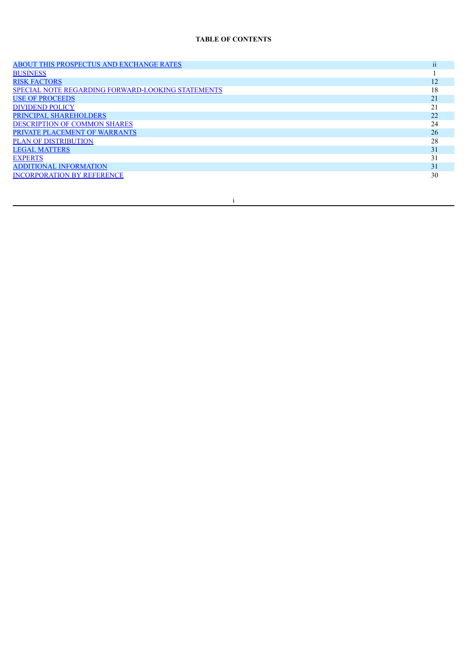# **TABLE OF CONTENTS**

| ABOUT THIS PROSPECTUS AND EXCHANGE RATES                 | $\cdots$<br>$\overline{11}$ |
|----------------------------------------------------------|-----------------------------|
| <b>BUSINESS</b>                                          |                             |
| <b>RISK FACTORS</b>                                      | 12                          |
| <b>SPECIAL NOTE REGARDING FORWARD-LOOKING STATEMENTS</b> | 18                          |
| <b>USE OF PROCEEDS</b>                                   | 21                          |
| <b>DIVIDEND POLICY</b>                                   | 21                          |
| PRINCIPAL SHAREHOLDERS                                   | 22                          |
| <b>DESCRIPTION OF COMMON SHARES</b>                      | 24                          |
| PRIVATE PLACEMENT OF WARRANTS                            | 26                          |
| <b>PLAN OF DISTRIBUTION</b>                              | 28                          |
| <b>LEGAL MATTERS</b>                                     | 31                          |
| <b>EXPERTS</b>                                           | 31                          |
| <b>ADDITIONAL INFORMATION</b>                            | 31                          |
| <b>INCORPORATION BY REFERENCE</b>                        | 30                          |
|                                                          |                             |

i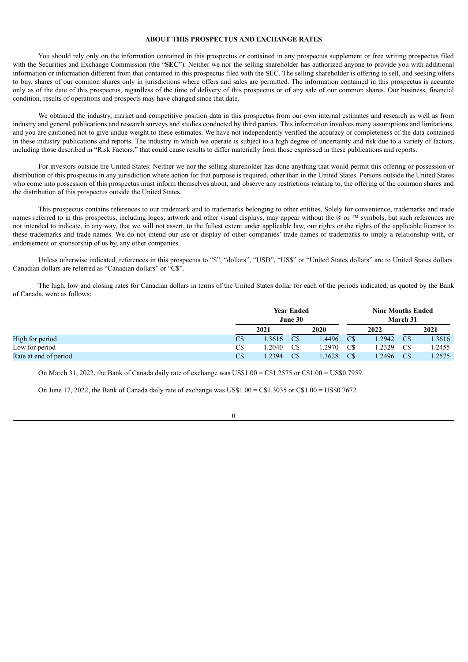# **ABOUT THIS PROSPECTUS AND EXCHANGE RATES**

<span id="page-3-0"></span>You should rely only on the information contained in this prospectus or contained in any prospectus supplement or free writing prospectus filed with the Securities and Exchange Commission (the "SEC"). Neither we nor the selling shareholder has authorized anyone to provide you with additional information or information different from that contained in this prospectus filed with the SEC. The selling shareholder is offering to sell, and seeking offers to buy, shares of our common shares only in jurisdictions where offers and sales are permitted. The information contained in this prospectus is accurate only as of the date of this prospectus, regardless of the time of delivery of this prospectus or of any sale of our common shares. Our business, financial condition, results of operations and prospects may have changed since that date.

We obtained the industry, market and competitive position data in this prospectus from our own internal estimates and research as well as from industry and general publications and research surveys and studies conducted by third parties. This information involves many assumptions and limitations, and you are cautioned not to give undue weight to these estimates. We have not independently verified the accuracy or completeness of the data contained in these industry publications and reports. The industry in which we operate is subject to a high degree of uncertainty and risk due to a variety of factors, including those described in "Risk Factors," that could cause results to differ materially from those expressed in these publications and reports.

For investors outside the United States: Neither we nor the selling shareholder has done anything that would permit this offering or possession or distribution of this prospectus in any jurisdiction where action for that purpose is required, other than in the United States. Persons outside the United States who come into possession of this prospectus must inform themselves about, and observe any restrictions relating to, the offering of the common shares and the distribution of this prospectus outside the United States.

This prospectus contains references to our trademark and to trademarks belonging to other entities. Solely for convenience, trademarks and trade names referred to in this prospectus, including logos, artwork and other visual displays, may appear without the  $\mathbb{R}$  or  $TM$  symbols, but such references are not intended to indicate, in any way, that we will not assert, to the fullest extent under applicable law, our rights or the rights of the applicable licensor to these trademarks and trade names. We do not intend our use or display of other companies' trade names or trademarks to imply a relationship with, or endorsement or sponsorship of us by, any other companies.

Unless otherwise indicated, references in this prospectus to "\$", "dollars", "USD", "US\$" or "United States dollars" are to United States dollars. Canadian dollars are referred as "Canadian dollars" or "C\$".

The high, low and closing rates for Canadian dollars in terms of the United States dollar for each of the periods indicated, as quoted by the Bank of Canada, were as follows:

|                       |                | <b>Year Ended</b><br>June 30 |                         |       | <b>Nine Months Ended</b><br>March 31 |       |                         |        |
|-----------------------|----------------|------------------------------|-------------------------|-------|--------------------------------------|-------|-------------------------|--------|
|                       |                | 2021                         |                         | 2020  |                                      | 2022  |                         | 2021   |
| High for period       | $C\$           | .3616                        | $\mathbb{C} \mathbb{S}$ | .4496 | C\$                                  | .2942 | $\mathbb{C} \mathbb{S}$ | 1.3616 |
| Low for period        | C <sub>S</sub> | .2040                        | C\$                     | .2970 | C\$                                  | .2329 | C\$                     | 1.2455 |
| Rate at end of period | $C\$           | .2394                        | $\mathbb{C} \mathbb{S}$ | .3628 | $\mathbb{C} \mathbb{S}$              | .2496 | $\mathbb{C} \mathbb{S}$ | 1.2575 |

On March 31, 2022, the Bank of Canada daily rate of exchange was US\$1.00 =  $C$1.2575$  or  $C$1.00 = US$0.7959$ .

On June 17, 2022, the Bank of Canada daily rate of exchange was US\$1.00 = C\$1.3035 or C\$1.00 = US\$0.7672.

ii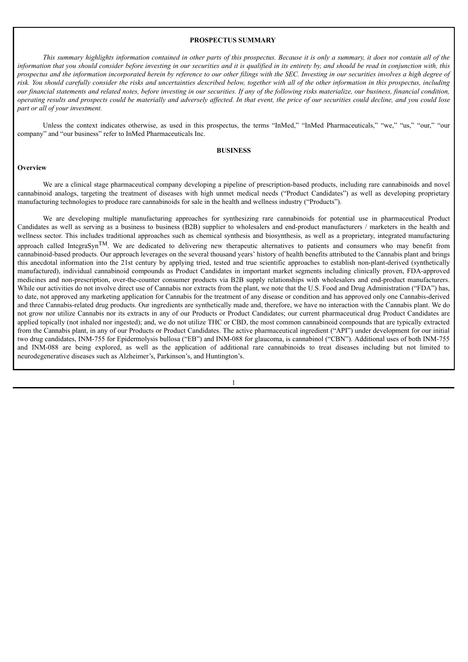#### **PROSPECTUS SUMMARY**

This summary highlights information contained in other parts of this prospectus. Because it is only a summary, it does not contain all of the information that you should consider before investing in our securities and it is qualified in its entirety by, and should be read in conjunction with, this prospectus and the information incorporated herein by reference to our other filings with the SEC. Investing in our securities involves a high degree of risk. You should carefully consider the risks and uncertainties described below, together with all of the other information in this prospectus, including our financial statements and related notes, before investing in our securities. If any of the following risks materialize, our business, financial condition, operating results and prospects could be materially and adversely affected. In that event, the price of our securities could decline, and you could lose *part or all of your investment.*

Unless the context indicates otherwise, as used in this prospectus, the terms "InMed," "InMed Pharmaceuticals," "we," "us," "our," "our company" and "our business" refer to InMed Pharmaceuticals Inc.

# **BUSINESS**

# <span id="page-4-0"></span>**Overview**

We are a clinical stage pharmaceutical company developing a pipeline of prescription-based products, including rare cannabinoids and novel cannabinoid analogs, targeting the treatment of diseases with high unmet medical needs ("Product Candidates") as well as developing proprietary manufacturing technologies to produce rare cannabinoids for sale in the health and wellness industry ("Products").

We are developing multiple manufacturing approaches for synthesizing rare cannabinoids for potential use in pharmaceutical Product Candidates as well as serving as a business to business (B2B) supplier to wholesalers and end-product manufacturers / marketers in the health and wellness sector. This includes traditional approaches such as chemical synthesis and biosynthesis, as well as a proprietary, integrated manufacturing approach called IntegraSyn<sup>TM</sup>. We are dedicated to delivering new therapeutic alternatives to patients and consumers who may benefit from cannabinoid-based products. Our approach leverages on the several thousand years' history of health benefits attributed to the Cannabis plant and brings this anecdotal information into the 21st century by applying tried, tested and true scientific approaches to establish non-plant-derived (synthetically manufactured), individual cannabinoid compounds as Product Candidates in important market segments including clinically proven, FDA-approved medicines and non-prescription, over-the-counter consumer products via B2B supply relationships with wholesalers and end-product manufacturers. While our activities do not involve direct use of Cannabis nor extracts from the plant, we note that the U.S. Food and Drug Administration ("FDA") has, to date, not approved any marketing application for Cannabis for the treatment of any disease or condition and has approved only one Cannabis-derived and three Cannabis-related drug products. Our ingredients are synthetically made and, therefore, we have no interaction with the Cannabis plant. We do not grow nor utilize Cannabis nor its extracts in any of our Products or Product Candidates; our current pharmaceutical drug Product Candidates are applied topically (not inhaled nor ingested); and, we do not utilize THC or CBD, the most common cannabinoid compounds that are typically extracted from the Cannabis plant, in any of our Products or Product Candidates. The active pharmaceutical ingredient ("API") under development for our initial two drug candidates, INM-755 for Epidermolysis bullosa ("EB") and INM-088 for glaucoma, is cannabinol ("CBN"). Additional uses of both INM-755 and INM-088 are being explored, as well as the application of additional rare cannabinoids to treat diseases including but not limited to neurodegenerative diseases such as Alzheimer's, Parkinson's, and Huntington's.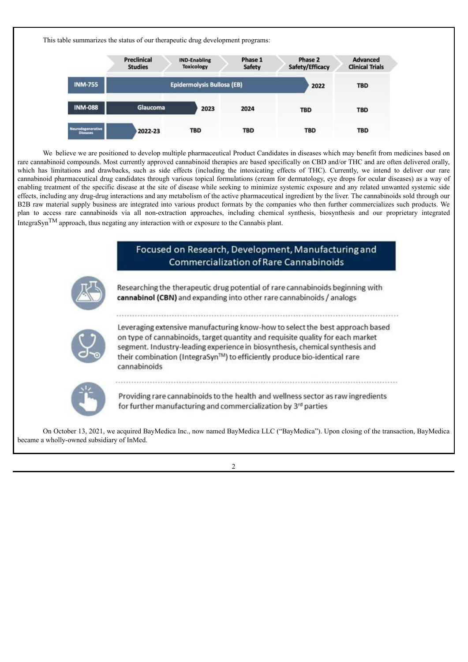This table summarizes the status of our therapeutic drug development programs:

|                                      | <b>Preclinical</b><br><b>Studies</b> | <b>IND-Enabling</b><br><b>Toxicology</b> | Phase 1<br>Safety | Phase 2<br>Safety/Efficacy | <b>Advanced</b><br><b>Clinical Trials</b> |
|--------------------------------------|--------------------------------------|------------------------------------------|-------------------|----------------------------|-------------------------------------------|
| <b>INM-755</b>                       |                                      | Epidermolysis Bullosa (EB)               |                   | 2022                       | <b>TBD</b>                                |
| <b>INM-088</b>                       | Glaucoma                             | 2023                                     | 2024              | <b>TBD</b>                 | <b>TBD</b>                                |
| Neurodegenerative<br><b>Diseases</b> | 2022-23                              | <b>TBD</b>                               | <b>TBD</b>        | <b>TBD</b>                 | <b>TBD</b>                                |

We believe we are positioned to develop multiple pharmaceutical Product Candidates in diseases which may benefit from medicines based on rare cannabinoid compounds. Most currently approved cannabinoid therapies are based specifically on CBD and/or THC and are often delivered orally, which has limitations and drawbacks, such as side effects (including the intoxicating effects of THC). Currently, we intend to deliver our rare cannabinoid pharmaceutical drug candidates through various topical formulations (cream for dermatology, eye drops for ocular diseases) as a way of enabling treatment of the specific disease at the site of disease while seeking to minimize systemic exposure and any related unwanted systemic side effects, including any drug-drug interactions and any metabolism of the active pharmaceutical ingredient by the liver. The cannabinoids sold through our B2B raw material supply business are integrated into various product formats by the companies who then further commercializes such products. We plan to access rare cannabinoids via all non-extraction approaches, including chemical synthesis, biosynthesis and our proprietary integrated IntegraSyn<sup>TM</sup> approach, thus negating any interaction with or exposure to the Cannabis plant.





Researching the therapeutic drug potential of rare cannabinoids beginning with cannabinol (CBN) and expanding into other rare cannabinoids / analogs

Leveraging extensive manufacturing know-how to select the best approach based on type of cannabinoids, target quantity and requisite quality for each market segment. Industry-leading experience in biosynthesis, chemical synthesis and their combination (IntegraSyn™) to efficiently produce bio-identical rare cannabinoids



Providing rare cannabinoids to the health and wellness sector as raw ingredients for further manufacturing and commercialization by 3rd parties

On October 13, 2021, we acquired BayMedica Inc., now named BayMedica LLC ("BayMedica"). Upon closing of the transaction, BayMedica became a wholly-owned subsidiary of InMed.

 $\mathcal{L}$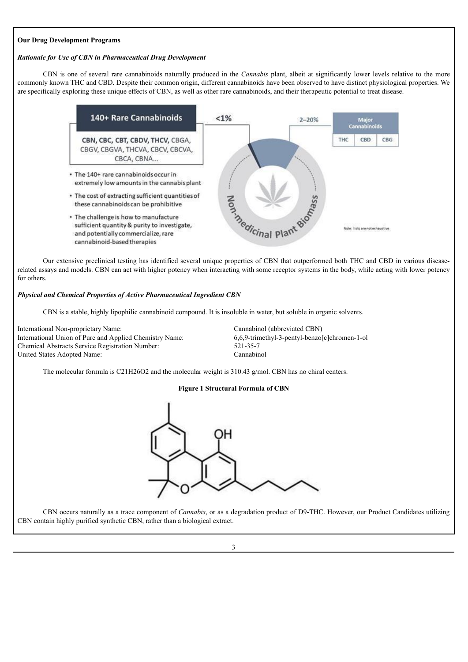# **Our Drug Development Programs**

# *Rationale for Use of CBN in Pharmaceutical Drug Development*

CBN is one of several rare cannabinoids naturally produced in the *Cannabis* plant, albeit at significantly lower levels relative to the more commonly known THC and CBD. Despite their common origin, different cannabinoids have been observed to have distinct physiological properties. We are specifically exploring these unique effects of CBN, as well as other rare cannabinoids, and their therapeutic potential to treat disease.



Our extensive preclinical testing has identified several unique properties of CBN that outperformed both THC and CBD in various diseaserelated assays and models. CBN can act with higher potency when interacting with some receptor systems in the body, while acting with lower potency for others.

# *Physical and Chemical Properties of Active Pharmaceutical Ingredient CBN*

CBN is a stable, highly lipophilic cannabinoid compound. It is insoluble in water, but soluble in organic solvents.

International Non-proprietary Name: Cannabinol (abbreviated CBN) International Union of Pure and Applied Chemistry Name: 6,6,9-trimethyl-3-pentyl-benzo[c]chromen-1-ol Chemical Abstracts Service Registration Number: 521-35-7 United States Adopted Name: Cannabinol

The molecular formula is C21H26O2 and the molecular weight is 310.43 g/mol. CBN has no chiral centers.

# **Figure 1 Structural Formula of CBN**



CBN occurs naturally as a trace component of *Cannabis*, or as a degradation product of D9-THC. However, our Product Candidates utilizing CBN contain highly purified synthetic CBN, rather than a biological extract.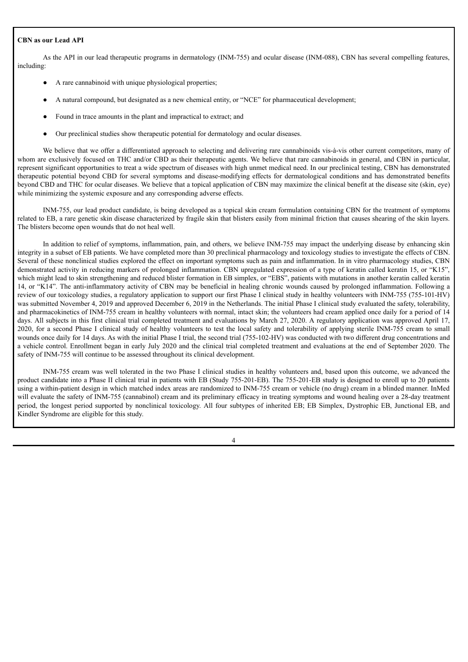# **CBN as our Lead API**

As the API in our lead therapeutic programs in dermatology (INM-755) and ocular disease (INM-088), CBN has several compelling features, including:

- A rare cannabinoid with unique physiological properties;
- A natural compound, but designated as a new chemical entity, or "NCE" for pharmaceutical development;
- Found in trace amounts in the plant and impractical to extract; and
- Our preclinical studies show therapeutic potential for dermatology and ocular diseases.

We believe that we offer a differentiated approach to selecting and delivering rare cannabinoids vis-à-vis other current competitors, many of whom are exclusively focused on THC and/or CBD as their therapeutic agents. We believe that rare cannabinoids in general, and CBN in particular, represent significant opportunities to treat a wide spectrum of diseases with high unmet medical need. In our preclinical testing, CBN has demonstrated therapeutic potential beyond CBD for several symptoms and disease-modifying effects for dermatological conditions and has demonstrated benefits beyond CBD and THC for ocular diseases. We believe that a topical application of CBN may maximize the clinical benefit at the disease site (skin, eye) while minimizing the systemic exposure and any corresponding adverse effects.

INM-755, our lead product candidate, is being developed as a topical skin cream formulation containing CBN for the treatment of symptoms related to EB, a rare genetic skin disease characterized by fragile skin that blisters easily from minimal friction that causes shearing of the skin layers. The blisters become open wounds that do not heal well.

In addition to relief of symptoms, inflammation, pain, and others, we believe INM-755 may impact the underlying disease by enhancing skin integrity in a subset of EB patients. We have completed more than 30 preclinical pharmacology and toxicology studies to investigate the effects of CBN. Several of these nonclinical studies explored the effect on important symptoms such as pain and inflammation. In in vitro pharmacology studies, CBN demonstrated activity in reducing markers of prolonged inflammation. CBN upregulated expression of a type of keratin called keratin 15, or "K15", which might lead to skin strengthening and reduced blister formation in EB simplex, or "EBS", patients with mutations in another keratin called keratin 14, or "K14". The anti-inflammatory activity of CBN may be beneficial in healing chronic wounds caused by prolonged inflammation. Following a review of our toxicology studies, a regulatory application to support our first Phase I clinical study in healthy volunteers with INM-755 (755-101-HV) was submitted November 4, 2019 and approved December 6, 2019 in the Netherlands. The initial Phase I clinical study evaluated the safety, tolerability, and pharmacokinetics of INM-755 cream in healthy volunteers with normal, intact skin; the volunteers had cream applied once daily for a period of 14 days. All subjects in this first clinical trial completed treatment and evaluations by March 27, 2020. A regulatory application was approved April 17, 2020, for a second Phase I clinical study of healthy volunteers to test the local safety and tolerability of applying sterile INM-755 cream to small wounds once daily for 14 days. As with the initial Phase I trial, the second trial (755-102-HV) was conducted with two different drug concentrations and a vehicle control. Enrollment began in early July 2020 and the clinical trial completed treatment and evaluations at the end of September 2020. The safety of INM-755 will continue to be assessed throughout its clinical development.

INM-755 cream was well tolerated in the two Phase I clinical studies in healthy volunteers and, based upon this outcome, we advanced the product candidate into a Phase II clinical trial in patients with EB (Study 755-201-EB). The 755-201-EB study is designed to enroll up to 20 patients using a within-patient design in which matched index areas are randomized to INM-755 cream or vehicle (no drug) cream in a blinded manner. InMed will evaluate the safety of INM-755 (cannabinol) cream and its preliminary efficacy in treating symptoms and wound healing over a 28-day treatment period, the longest period supported by nonclinical toxicology. All four subtypes of inherited EB; EB Simplex, Dystrophic EB, Junctional EB, and Kindler Syndrome are eligible for this study.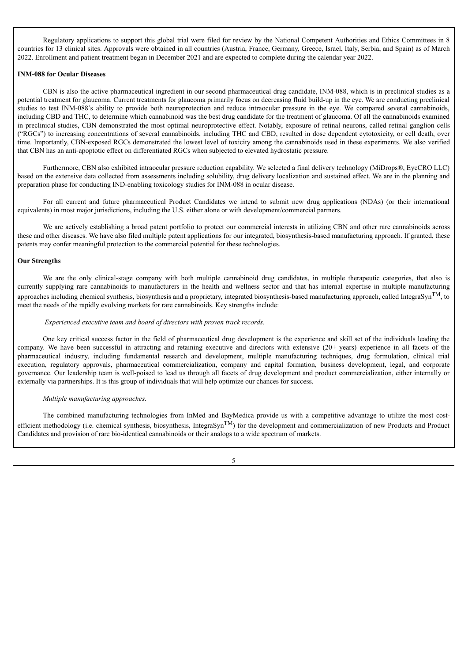Regulatory applications to support this global trial were filed for review by the National Competent Authorities and Ethics Committees in 8 countries for 13 clinical sites. Approvals were obtained in all countries (Austria, France, Germany, Greece, Israel, Italy, Serbia, and Spain) as of March 2022. Enrollment and patient treatment began in December 2021 and are expected to complete during the calendar year 2022.

# **INM-088 for Ocular Diseases**

CBN is also the active pharmaceutical ingredient in our second pharmaceutical drug candidate, INM-088, which is in preclinical studies as a potential treatment for glaucoma. Current treatments for glaucoma primarily focus on decreasing fluid build-up in the eye. We are conducting preclinical studies to test INM-088's ability to provide both neuroprotection and reduce intraocular pressure in the eye. We compared several cannabinoids, including CBD and THC, to determine which cannabinoid was the best drug candidate for the treatment of glaucoma. Of all the cannabinoids examined in preclinical studies, CBN demonstrated the most optimal neuroprotective effect. Notably, exposure of retinal neurons, called retinal ganglion cells ("RGCs") to increasing concentrations of several cannabinoids, including THC and CBD, resulted in dose dependent cytotoxicity, or cell death, over time. Importantly, CBN-exposed RGCs demonstrated the lowest level of toxicity among the cannabinoids used in these experiments. We also verified that CBN has an anti-apoptotic effect on differentiated RGCs when subjected to elevated hydrostatic pressure.

Furthermore, CBN also exhibited intraocular pressure reduction capability. We selected a final delivery technology (MiDrops®, EyeCRO LLC) based on the extensive data collected from assessments including solubility, drug delivery localization and sustained effect. We are in the planning and preparation phase for conducting IND-enabling toxicology studies for INM-088 in ocular disease.

For all current and future pharmaceutical Product Candidates we intend to submit new drug applications (NDAs) (or their international equivalents) in most major jurisdictions, including the U.S. either alone or with development/commercial partners.

We are actively establishing a broad patent portfolio to protect our commercial interests in utilizing CBN and other rare cannabinoids across these and other diseases. We have also filed multiple patent applications for our integrated, biosynthesis-based manufacturing approach. If granted, these patents may confer meaningful protection to the commercial potential for these technologies.

# **Our Strengths**

We are the only clinical-stage company with both multiple cannabinoid drug candidates, in multiple therapeutic categories, that also is currently supplying rare cannabinoids to manufacturers in the health and wellness sector and that has internal expertise in multiple manufacturing approaches including chemical synthesis, biosynthesis and a proprietary, integrated biosynthesis-based manufacturing approach, called IntegraSyn<sup>TM</sup>, to meet the needs of the rapidly evolving markets for rare cannabinoids. Key strengths include:

# *Experienced executive team and board of directors with proven track records.*

One key critical success factor in the field of pharmaceutical drug development is the experience and skill set of the individuals leading the company. We have been successful in attracting and retaining executive and directors with extensive (20+ years) experience in all facets of the pharmaceutical industry, including fundamental research and development, multiple manufacturing techniques, drug formulation, clinical trial execution, regulatory approvals, pharmaceutical commercialization, company and capital formation, business development, legal, and corporate governance. Our leadership team is well-poised to lead us through all facets of drug development and product commercialization, either internally or externally via partnerships. It is this group of individuals that will help optimize our chances for success.

# *Multiple manufacturing approaches.*

The combined manufacturing technologies from InMed and BayMedica provide us with a competitive advantage to utilize the most costefficient methodology (i.e. chemical synthesis, biosynthesis, IntegraSyn<sup>TM</sup>) for the development and commercialization of new Products and Product Candidates and provision of rare bio-identical cannabinoids or their analogs to a wide spectrum of markets.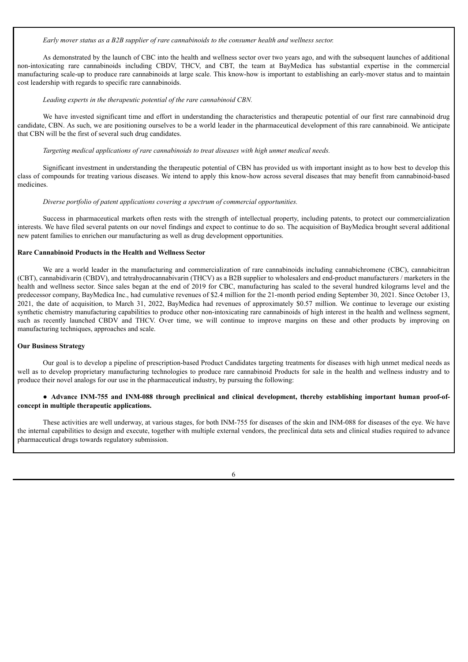*Early mover status as a B2B supplier of rare cannabinoids to the consumer health and wellness sector.*

As demonstrated by the launch of CBC into the health and wellness sector over two years ago, and with the subsequent launches of additional non-intoxicating rare cannabinoids including CBDV, THCV, and CBT, the team at BayMedica has substantial expertise in the commercial manufacturing scale-up to produce rare cannabinoids at large scale. This know-how is important to establishing an early-mover status and to maintain cost leadership with regards to specific rare cannabinoids.

#### *Leading experts in the therapeutic potential of the rare cannabinoid CBN.*

We have invested significant time and effort in understanding the characteristics and therapeutic potential of our first rare cannabinoid drug candidate, CBN. As such, we are positioning ourselves to be a world leader in the pharmaceutical development of this rare cannabinoid. We anticipate that CBN will be the first of several such drug candidates.

*Targeting medical applications of rare cannabinoids to treat diseases with high unmet medical needs.*

Significant investment in understanding the therapeutic potential of CBN has provided us with important insight as to how best to develop this class of compounds for treating various diseases. We intend to apply this know-how across several diseases that may benefit from cannabinoid-based medicines.

#### *Diverse portfolio of patent applications covering a spectrum of commercial opportunities.*

Success in pharmaceutical markets often rests with the strength of intellectual property, including patents, to protect our commercialization interests. We have filed several patents on our novel findings and expect to continue to do so. The acquisition of BayMedica brought several additional new patent families to enrichen our manufacturing as well as drug development opportunities.

#### **Rare Cannabinoid Products in the Health and Wellness Sector**

We are a world leader in the manufacturing and commercialization of rare cannabinoids including cannabichromene (CBC), cannabicitran (CBT), cannabidivarin (CBDV), and tetrahydrocannabivarin (THCV) as a B2B supplier to wholesalers and end-product manufacturers / marketers in the health and wellness sector. Since sales began at the end of 2019 for CBC, manufacturing has scaled to the several hundred kilograms level and the predecessor company, BayMedica Inc., had cumulative revenues of \$2.4 million for the 21-month period ending September 30, 2021. Since October 13, 2021, the date of acquisition, to March 31, 2022, BayMedica had revenues of approximately \$0.57 million. We continue to leverage our existing synthetic chemistry manufacturing capabilities to produce other non-intoxicating rare cannabinoids of high interest in the health and wellness segment, such as recently launched CBDV and THCV. Over time, we will continue to improve margins on these and other products by improving on manufacturing techniques, approaches and scale.

#### **Our Business Strategy**

Our goal is to develop a pipeline of prescription-based Product Candidates targeting treatments for diseases with high unmet medical needs as well as to develop proprietary manufacturing technologies to produce rare cannabinoid Products for sale in the health and wellness industry and to produce their novel analogs for our use in the pharmaceutical industry, by pursuing the following:

# ● **Advance INM-755 and INM-088 through preclinical and clinical development, thereby establishing important human proof-ofconcept in multiple therapeutic applications.**

These activities are well underway, at various stages, for both INM-755 for diseases of the skin and INM-088 for diseases of the eye. We have the internal capabilities to design and execute, together with multiple external vendors, the preclinical data sets and clinical studies required to advance pharmaceutical drugs towards regulatory submission.

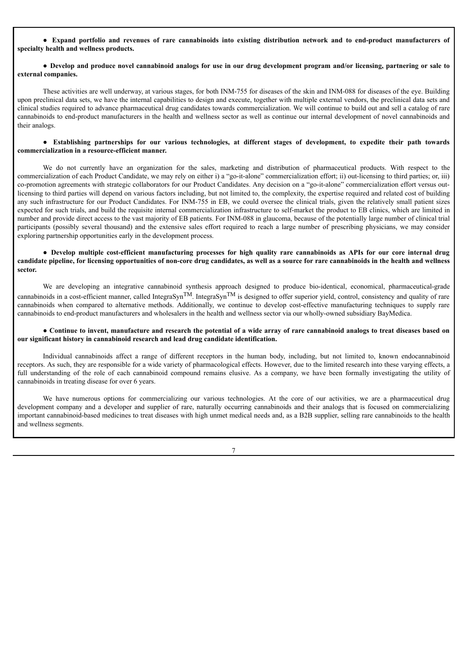• Expand portfolio and revenues of rare cannabinoids into existing distribution network and to end-product manufacturers of **specialty health and wellness products.**

# • Develop and produce novel cannabinoid analogs for use in our drug development program and/or licensing, partnering or sale to **external companies.**

These activities are well underway, at various stages, for both INM-755 for diseases of the skin and INM-088 for diseases of the eye. Building upon preclinical data sets, we have the internal capabilities to design and execute, together with multiple external vendors, the preclinical data sets and clinical studies required to advance pharmaceutical drug candidates towards commercialization. We will continue to build out and sell a catalog of rare cannabinoids to end-product manufacturers in the health and wellness sector as well as continue our internal development of novel cannabinoids and their analogs.

# • Establishing partnerships for our various technologies, at different stages of development, to expedite their path towards **commercialization in a resource-efficient manner.**

We do not currently have an organization for the sales, marketing and distribution of pharmaceutical products. With respect to the commercialization of each Product Candidate, we may rely on either i) a "go-it-alone" commercialization effort; ii) out-licensing to third parties; or, iii) co-promotion agreements with strategic collaborators for our Product Candidates. Any decision on a "go-it-alone" commercialization effort versus outlicensing to third parties will depend on various factors including, but not limited to, the complexity, the expertise required and related cost of building any such infrastructure for our Product Candidates. For INM-755 in EB, we could oversee the clinical trials, given the relatively small patient sizes expected for such trials, and build the requisite internal commercialization infrastructure to self-market the product to EB clinics, which are limited in number and provide direct access to the vast majority of EB patients. For INM-088 in glaucoma, because of the potentially large number of clinical trial participants (possibly several thousand) and the extensive sales effort required to reach a large number of prescribing physicians, we may consider exploring partnership opportunities early in the development process.

# · Develop multiple cost-efficient manufacturing processes for high quality rare cannabinoids as APIs for our core internal drug candidate pipeline, for licensing opportunities of non-core drug candidates, as well as a source for rare cannabinoids in the health and wellness **sector.**

We are developing an integrative cannabinoid synthesis approach designed to produce bio-identical, economical, pharmaceutical-grade cannabinoids in a cost-efficient manner, called IntegraSyn<sup>TM</sup>. IntegraSyn<sup>TM</sup> is designed to offer superior yield, control, consistency and quality of rare cannabinoids when compared to alternative methods. Additionally, we continue to develop cost-effective manufacturing techniques to supply rare cannabinoids to end-product manufacturers and wholesalers in the health and wellness sector via our wholly-owned subsidiary BayMedica.

# • Continue to invent, manufacture and research the potential of a wide array of rare cannabinoid analogs to treat diseases based on **our significant history in cannabinoid research and lead drug candidate identification.**

Individual cannabinoids affect a range of different receptors in the human body, including, but not limited to, known endocannabinoid receptors. As such, they are responsible for a wide variety of pharmacological effects. However, due to the limited research into these varying effects, a full understanding of the role of each cannabinoid compound remains elusive. As a company, we have been formally investigating the utility of cannabinoids in treating disease for over 6 years.

We have numerous options for commercializing our various technologies. At the core of our activities, we are a pharmaceutical drug development company and a developer and supplier of rare, naturally occurring cannabinoids and their analogs that is focused on commercializing important cannabinoid-based medicines to treat diseases with high unmet medical needs and, as a B2B supplier, selling rare cannabinoids to the health and wellness segments.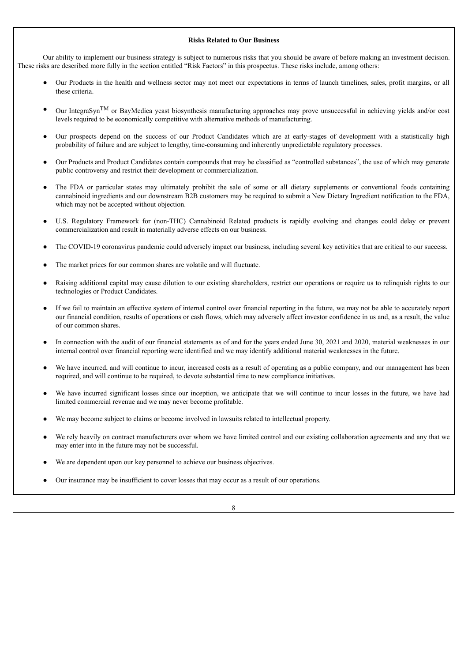# **Risks Related to Our Business**

Our ability to implement our business strategy is subject to numerous risks that you should be aware of before making an investment decision. These risks are described more fully in the section entitled "Risk Factors" in this prospectus. These risks include, among others:

- Our Products in the health and wellness sector may not meet our expectations in terms of launch timelines, sales, profit margins, or all these criteria.
- Our IntegraSyn<sup>TM</sup> or BayMedica yeast biosynthesis manufacturing approaches may prove unsuccessful in achieving yields and/or cost levels required to be economically competitive with alternative methods of manufacturing.
- Our prospects depend on the success of our Product Candidates which are at early-stages of development with a statistically high probability of failure and are subject to lengthy, time-consuming and inherently unpredictable regulatory processes.
- Our Products and Product Candidates contain compounds that may be classified as "controlled substances", the use of which may generate public controversy and restrict their development or commercialization.
- The FDA or particular states may ultimately prohibit the sale of some or all dietary supplements or conventional foods containing cannabinoid ingredients and our downstream B2B customers may be required to submit a New Dietary Ingredient notification to the FDA, which may not be accepted without objection.
- U.S. Regulatory Framework for (non-THC) Cannabinoid Related products is rapidly evolving and changes could delay or prevent commercialization and result in materially adverse effects on our business.
- The COVID-19 coronavirus pandemic could adversely impact our business, including several key activities that are critical to our success.
- The market prices for our common shares are volatile and will fluctuate.
- Raising additional capital may cause dilution to our existing shareholders, restrict our operations or require us to relinquish rights to our technologies or Product Candidates.
- If we fail to maintain an effective system of internal control over financial reporting in the future, we may not be able to accurately report our financial condition, results of operations or cash flows, which may adversely affect investor confidence in us and, as a result, the value of our common shares.
- In connection with the audit of our financial statements as of and for the years ended June 30, 2021 and 2020, material weaknesses in our internal control over financial reporting were identified and we may identify additional material weaknesses in the future.
- We have incurred, and will continue to incur, increased costs as a result of operating as a public company, and our management has been required, and will continue to be required, to devote substantial time to new compliance initiatives.
- We have incurred significant losses since our inception, we anticipate that we will continue to incur losses in the future, we have had limited commercial revenue and we may never become profitable.
- We may become subject to claims or become involved in lawsuits related to intellectual property.
- We rely heavily on contract manufacturers over whom we have limited control and our existing collaboration agreements and any that we may enter into in the future may not be successful.
- We are dependent upon our key personnel to achieve our business objectives.
- Our insurance may be insufficient to cover losses that may occur as a result of our operations.

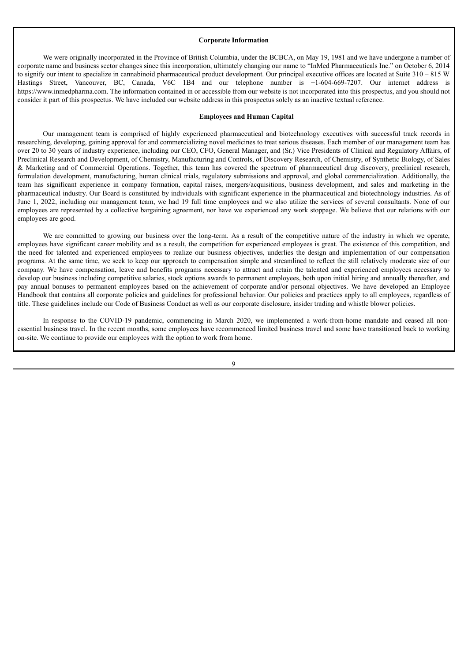#### **Corporate Information**

We were originally incorporated in the Province of British Columbia, under the BCBCA, on May 19, 1981 and we have undergone a number of corporate name and business sector changes since this incorporation, ultimately changing our name to "InMed Pharmaceuticals Inc." on October 6, 2014 to signify our intent to specialize in cannabinoid pharmaceutical product development. Our principal executive offices are located at Suite 310 – 815 W Hastings Street, Vancouver, BC, Canada, V6C 1B4 and our telephone number is +1-604-669-7207. Our internet address is https://www.inmedpharma.com. The information contained in or accessible from our website is not incorporated into this prospectus, and you should not consider it part of this prospectus. We have included our website address in this prospectus solely as an inactive textual reference.

# **Employees and Human Capital**

Our management team is comprised of highly experienced pharmaceutical and biotechnology executives with successful track records in researching, developing, gaining approval for and commercializing novel medicines to treat serious diseases. Each member of our management team has over 20 to 30 years of industry experience, including our CEO, CFO, General Manager, and (Sr.) Vice Presidents of Clinical and Regulatory Affairs, of Preclinical Research and Development, of Chemistry, Manufacturing and Controls, of Discovery Research, of Chemistry, of Synthetic Biology, of Sales & Marketing and of Commercial Operations. Together, this team has covered the spectrum of pharmaceutical drug discovery, preclinical research, formulation development, manufacturing, human clinical trials, regulatory submissions and approval, and global commercialization. Additionally, the team has significant experience in company formation, capital raises, mergers/acquisitions, business development, and sales and marketing in the pharmaceutical industry. Our Board is constituted by individuals with significant experience in the pharmaceutical and biotechnology industries. As of June 1, 2022, including our management team, we had 19 full time employees and we also utilize the services of several consultants. None of our employees are represented by a collective bargaining agreement, nor have we experienced any work stoppage. We believe that our relations with our employees are good.

We are committed to growing our business over the long-term. As a result of the competitive nature of the industry in which we operate, employees have significant career mobility and as a result, the competition for experienced employees is great. The existence of this competition, and the need for talented and experienced employees to realize our business objectives, underlies the design and implementation of our compensation programs. At the same time, we seek to keep our approach to compensation simple and streamlined to reflect the still relatively moderate size of our company. We have compensation, leave and benefits programs necessary to attract and retain the talented and experienced employees necessary to develop our business including competitive salaries, stock options awards to permanent employees, both upon initial hiring and annually thereafter, and pay annual bonuses to permanent employees based on the achievement of corporate and/or personal objectives. We have developed an Employee Handbook that contains all corporate policies and guidelines for professional behavior. Our policies and practices apply to all employees, regardless of title. These guidelines include our Code of Business Conduct as well as our corporate disclosure, insider trading and whistle blower policies.

In response to the COVID-19 pandemic, commencing in March 2020, we implemented a work-from-home mandate and ceased all nonessential business travel. In the recent months, some employees have recommenced limited business travel and some have transitioned back to working on-site. We continue to provide our employees with the option to work from home.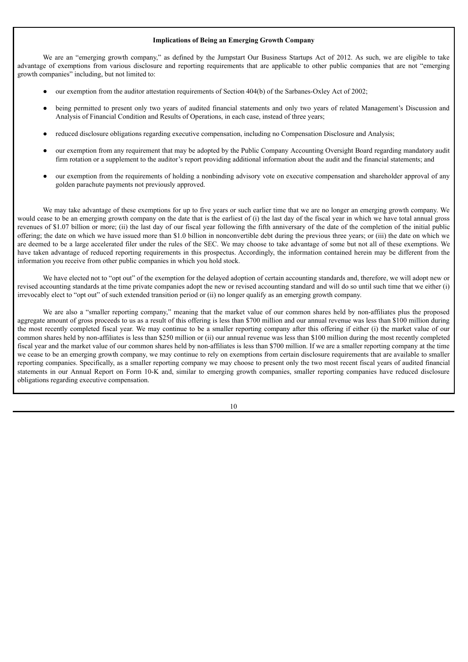# **Implications of Being an Emerging Growth Company**

We are an "emerging growth company," as defined by the Jumpstart Our Business Startups Act of 2012. As such, we are eligible to take advantage of exemptions from various disclosure and reporting requirements that are applicable to other public companies that are not "emerging growth companies" including, but not limited to:

- our exemption from the auditor attestation requirements of Section 404(b) of the Sarbanes-Oxley Act of 2002;
- being permitted to present only two years of audited financial statements and only two years of related Management's Discussion and Analysis of Financial Condition and Results of Operations, in each case, instead of three years;
- reduced disclosure obligations regarding executive compensation, including no Compensation Disclosure and Analysis;
- our exemption from any requirement that may be adopted by the Public Company Accounting Oversight Board regarding mandatory audit firm rotation or a supplement to the auditor's report providing additional information about the audit and the financial statements; and
- our exemption from the requirements of holding a nonbinding advisory vote on executive compensation and shareholder approval of any golden parachute payments not previously approved.

We may take advantage of these exemptions for up to five years or such earlier time that we are no longer an emerging growth company. We would cease to be an emerging growth company on the date that is the earliest of (i) the last day of the fiscal year in which we have total annual gross revenues of \$1.07 billion or more; (ii) the last day of our fiscal year following the fifth anniversary of the date of the completion of the initial public offering; the date on which we have issued more than \$1.0 billion in nonconvertible debt during the previous three years; or (iii) the date on which we are deemed to be a large accelerated filer under the rules of the SEC. We may choose to take advantage of some but not all of these exemptions. We have taken advantage of reduced reporting requirements in this prospectus. Accordingly, the information contained herein may be different from the information you receive from other public companies in which you hold stock.

We have elected not to "opt out" of the exemption for the delayed adoption of certain accounting standards and, therefore, we will adopt new or revised accounting standards at the time private companies adopt the new or revised accounting standard and will do so until such time that we either (i) irrevocably elect to "opt out" of such extended transition period or (ii) no longer qualify as an emerging growth company.

We are also a "smaller reporting company," meaning that the market value of our common shares held by non-affiliates plus the proposed aggregate amount of gross proceeds to us as a result of this offering is less than \$700 million and our annual revenue was less than \$100 million during the most recently completed fiscal year. We may continue to be a smaller reporting company after this offering if either (i) the market value of our common shares held by non-affiliates is less than \$250 million or (ii) our annual revenue was less than \$100 million during the most recently completed fiscal year and the market value of our common shares held by non-affiliates is less than \$700 million. If we are a smaller reporting company at the time we cease to be an emerging growth company, we may continue to rely on exemptions from certain disclosure requirements that are available to smaller reporting companies. Specifically, as a smaller reporting company we may choose to present only the two most recent fiscal years of audited financial statements in our Annual Report on Form 10-K and, similar to emerging growth companies, smaller reporting companies have reduced disclosure obligations regarding executive compensation.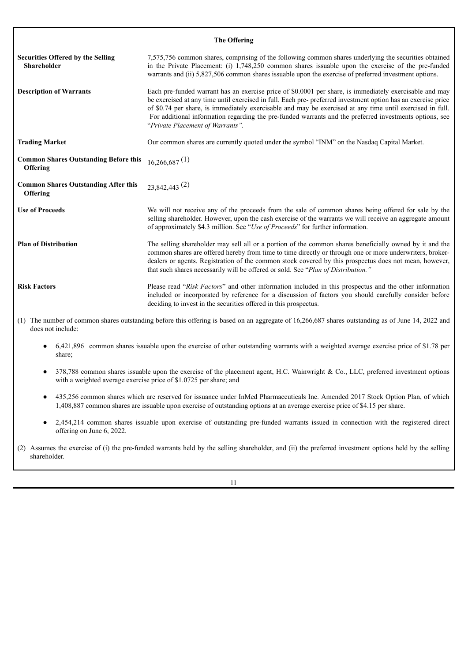| <b>The Offering</b>                                            |                                                                                                                                                                                                                                                                                                                                                                                                                                                                                      |  |  |  |  |
|----------------------------------------------------------------|--------------------------------------------------------------------------------------------------------------------------------------------------------------------------------------------------------------------------------------------------------------------------------------------------------------------------------------------------------------------------------------------------------------------------------------------------------------------------------------|--|--|--|--|
| <b>Securities Offered by the Selling</b><br><b>Shareholder</b> | 7,575,756 common shares, comprising of the following common shares underlying the securities obtained<br>in the Private Placement: (i) 1,748,250 common shares issuable upon the exercise of the pre-funded<br>warrants and (ii) 5,827,506 common shares issuable upon the exercise of preferred investment options.                                                                                                                                                                 |  |  |  |  |
| <b>Description of Warrants</b>                                 | Each pre-funded warrant has an exercise price of \$0.0001 per share, is immediately exercisable and may<br>be exercised at any time until exercised in full. Each pre- preferred investment option has an exercise price<br>of \$0.74 per share, is immediately exercisable and may be exercised at any time until exercised in full.<br>For additional information regarding the pre-funded warrants and the preferred investments options, see<br>"Private Placement of Warrants". |  |  |  |  |
| <b>Trading Market</b>                                          | Our common shares are currently quoted under the symbol "INM" on the Nasdaq Capital Market.                                                                                                                                                                                                                                                                                                                                                                                          |  |  |  |  |
| <b>Common Shares Outstanding Before this</b><br>Offering       | $16,266,687$ <sup>(1)</sup>                                                                                                                                                                                                                                                                                                                                                                                                                                                          |  |  |  |  |
| <b>Common Shares Outstanding After this</b><br>Offering        | $23,842,443$ <sup>(2)</sup>                                                                                                                                                                                                                                                                                                                                                                                                                                                          |  |  |  |  |
| <b>Use of Proceeds</b>                                         | We will not receive any of the proceeds from the sale of common shares being offered for sale by the<br>selling shareholder. However, upon the cash exercise of the warrants we will receive an aggregate amount<br>of approximately \$4.3 million. See "Use of Proceeds" for further information.                                                                                                                                                                                   |  |  |  |  |
| <b>Plan of Distribution</b>                                    | The selling shareholder may sell all or a portion of the common shares beneficially owned by it and the<br>common shares are offered hereby from time to time directly or through one or more underwriters, broker-<br>dealers or agents. Registration of the common stock covered by this prospectus does not mean, however,<br>that such shares necessarily will be offered or sold. See "Plan of Distribution."                                                                   |  |  |  |  |
| <b>Risk Factors</b>                                            | Please read "Risk Factors" and other information included in this prospectus and the other information<br>included or incorporated by reference for a discussion of factors you should carefully consider before<br>deciding to invest in the securities offered in this prospectus.                                                                                                                                                                                                 |  |  |  |  |
| does not include:                                              | (1) The number of common shares outstanding before this offering is based on an aggregate of 16,266,687 shares outstanding as of June 14, 2022 and                                                                                                                                                                                                                                                                                                                                   |  |  |  |  |

- 6,421,896 common shares issuable upon the exercise of other outstanding warrants with a weighted average exercise price of \$1.78 per share;
- 378,788 common shares issuable upon the exercise of the placement agent, H.C. Wainwright & Co., LLC, preferred investment options with a weighted average exercise price of \$1.0725 per share; and
- 435,256 common shares which are reserved for issuance under InMed Pharmaceuticals Inc. Amended 2017 Stock Option Plan, of which 1,408,887 common shares are issuable upon exercise of outstanding options at an average exercise price of \$4.15 per share.
- 2,454,214 common shares issuable upon exercise of outstanding pre-funded warrants issued in connection with the registered direct offering on June 6, 2022.
- (2) Assumes the exercise of (i) the pre-funded warrants held by the selling shareholder, and (ii) the preferred investment options held by the selling shareholder.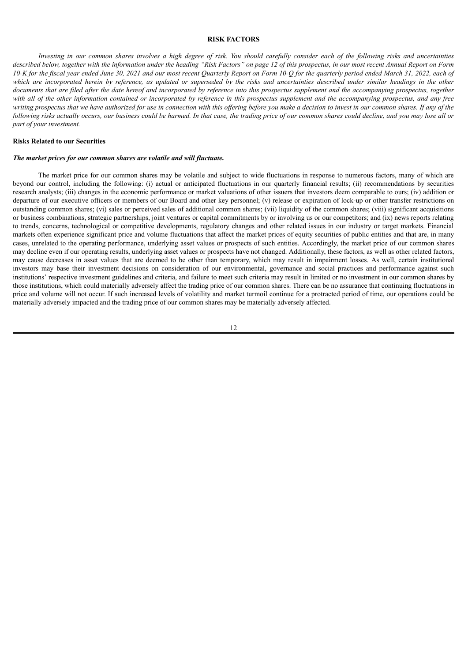#### **RISK FACTORS**

<span id="page-15-0"></span>Investing in our common shares involves a high degree of risk. You should carefully consider each of the following risks and uncertainties described below, together with the information under the heading "Risk Factors" on page 12 of this prospectus, in our most recent Annual Report on Form 10-K for the fiscal year ended June 30, 2021 and our most recent Quarterly Report on Form 10-Q for the quarterly period ended March 31, 2022, each of which are incorporated herein by reference, as updated or superseded by the risks and uncertainties described under similar headings in the other documents that are filed after the date hereof and incorporated by reference into this prospectus supplement and the accompanying prospectus, together with all of the other information contained or incorporated by reference in this prospectus supplement and the accompanying prospectus, and any free writing prospectus that we have authorized for use in connection with this offering before you make a decision to invest in our common shares. If any of the following risks actually occurs, our business could be harmed. In that case, the trading price of our common shares could decline, and you may lose all or *part of your investment.*

# **Risks Related to our Securities**

#### *The market prices for our common shares are volatile and will fluctuate.*

The market price for our common shares may be volatile and subject to wide fluctuations in response to numerous factors, many of which are beyond our control, including the following: (i) actual or anticipated fluctuations in our quarterly financial results; (ii) recommendations by securities research analysts; (iii) changes in the economic performance or market valuations of other issuers that investors deem comparable to ours; (iv) addition or departure of our executive officers or members of our Board and other key personnel; (v) release or expiration of lock-up or other transfer restrictions on outstanding common shares; (vi) sales or perceived sales of additional common shares; (vii) liquidity of the common shares; (viii) significant acquisitions or business combinations, strategic partnerships, joint ventures or capital commitments by or involving us or our competitors; and (ix) news reports relating to trends, concerns, technological or competitive developments, regulatory changes and other related issues in our industry or target markets. Financial markets often experience significant price and volume fluctuations that affect the market prices of equity securities of public entities and that are, in many cases, unrelated to the operating performance, underlying asset values or prospects of such entities. Accordingly, the market price of our common shares may decline even if our operating results, underlying asset values or prospects have not changed. Additionally, these factors, as well as other related factors, may cause decreases in asset values that are deemed to be other than temporary, which may result in impairment losses. As well, certain institutional investors may base their investment decisions on consideration of our environmental, governance and social practices and performance against such institutions' respective investment guidelines and criteria, and failure to meet such criteria may result in limited or no investment in our common shares by those institutions, which could materially adversely affect the trading price of our common shares. There can be no assurance that continuing fluctuations in price and volume will not occur. If such increased levels of volatility and market turmoil continue for a protracted period of time, our operations could be materially adversely impacted and the trading price of our common shares may be materially adversely affected.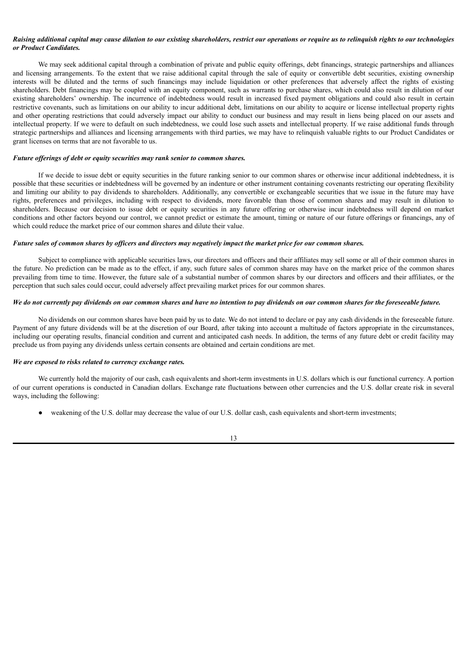# Raising additional capital may cause dilution to our existing shareholders, restrict our operations or require us to relinguish rights to our technologies *or Product Candidates.*

We may seek additional capital through a combination of private and public equity offerings, debt financings, strategic partnerships and alliances and licensing arrangements. To the extent that we raise additional capital through the sale of equity or convertible debt securities, existing ownership interests will be diluted and the terms of such financings may include liquidation or other preferences that adversely affect the rights of existing shareholders. Debt financings may be coupled with an equity component, such as warrants to purchase shares, which could also result in dilution of our existing shareholders' ownership. The incurrence of indebtedness would result in increased fixed payment obligations and could also result in certain restrictive covenants, such as limitations on our ability to incur additional debt, limitations on our ability to acquire or license intellectual property rights and other operating restrictions that could adversely impact our ability to conduct our business and may result in liens being placed on our assets and intellectual property. If we were to default on such indebtedness, we could lose such assets and intellectual property. If we raise additional funds through strategic partnerships and alliances and licensing arrangements with third parties, we may have to relinquish valuable rights to our Product Candidates or grant licenses on terms that are not favorable to us.

# *Future of erings of debt or equity securities may rank senior to common shares.*

If we decide to issue debt or equity securities in the future ranking senior to our common shares or otherwise incur additional indebtedness, it is possible that these securities or indebtedness will be governed by an indenture or other instrument containing covenants restricting our operating flexibility and limiting our ability to pay dividends to shareholders. Additionally, any convertible or exchangeable securities that we issue in the future may have rights, preferences and privileges, including with respect to dividends, more favorable than those of common shares and may result in dilution to shareholders. Because our decision to issue debt or equity securities in any future offering or otherwise incur indebtedness will depend on market conditions and other factors beyond our control, we cannot predict or estimate the amount, timing or nature of our future offerings or financings, any of which could reduce the market price of our common shares and dilute their value.

# Future sales of common shares by officers and directors may negatively impact the market price for our common shares.

Subject to compliance with applicable securities laws, our directors and officers and their affiliates may sell some or all of their common shares in the future. No prediction can be made as to the effect, if any, such future sales of common shares may have on the market price of the common shares prevailing from time to time. However, the future sale of a substantial number of common shares by our directors and officers and their affiliates, or the perception that such sales could occur, could adversely affect prevailing market prices for our common shares.

# We do not currently pay dividends on our common shares and have no intention to pay dividends on our common shares for the foreseeable future.

No dividends on our common shares have been paid by us to date. We do not intend to declare or pay any cash dividends in the foreseeable future. Payment of any future dividends will be at the discretion of our Board, after taking into account a multitude of factors appropriate in the circumstances, including our operating results, financial condition and current and anticipated cash needs. In addition, the terms of any future debt or credit facility may preclude us from paying any dividends unless certain consents are obtained and certain conditions are met.

#### *We are exposed to risks related to currency exchange rates.*

We currently hold the majority of our cash, cash equivalents and short-term investments in U.S. dollars which is our functional currency. A portion of our current operations is conducted in Canadian dollars. Exchange rate fluctuations between other currencies and the U.S. dollar create risk in several ways, including the following:

weakening of the U.S. dollar may decrease the value of our U.S. dollar cash, cash equivalents and short-term investments;

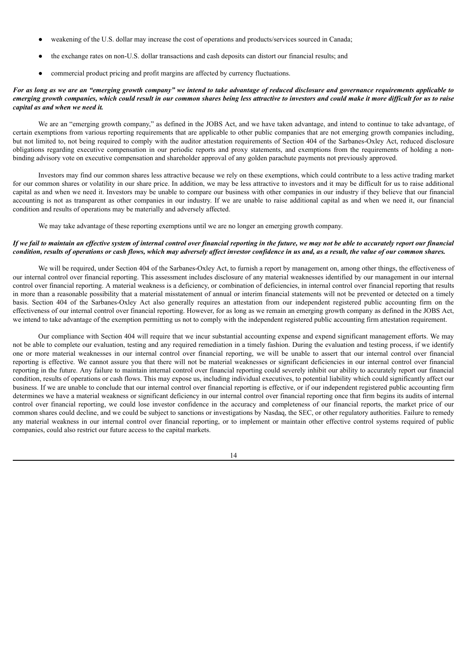- weakening of the U.S. dollar may increase the cost of operations and products/services sourced in Canada;
- the exchange rates on non-U.S. dollar transactions and cash deposits can distort our financial results; and
- commercial product pricing and profit margins are affected by currency fluctuations.

# For as long as we are an "emerging growth company" we intend to take advantage of reduced disclosure and governance requirements applicable to emerging growth companies, which could result in our common shares being less attractive to investors and could make it more difficult for us to raise *capital as and when we need it.*

We are an "emerging growth company," as defined in the JOBS Act, and we have taken advantage, and intend to continue to take advantage, of certain exemptions from various reporting requirements that are applicable to other public companies that are not emerging growth companies including, but not limited to, not being required to comply with the auditor attestation requirements of Section 404 of the Sarbanes-Oxley Act, reduced disclosure obligations regarding executive compensation in our periodic reports and proxy statements, and exemptions from the requirements of holding a nonbinding advisory vote on executive compensation and shareholder approval of any golden parachute payments not previously approved.

Investors may find our common shares less attractive because we rely on these exemptions, which could contribute to a less active trading market for our common shares or volatility in our share price. In addition, we may be less attractive to investors and it may be difficult for us to raise additional capital as and when we need it. Investors may be unable to compare our business with other companies in our industry if they believe that our financial accounting is not as transparent as other companies in our industry. If we are unable to raise additional capital as and when we need it, our financial condition and results of operations may be materially and adversely affected.

We may take advantage of these reporting exemptions until we are no longer an emerging growth company.

# If we fail to maintain an effective system of internal control over financial reporting in the future, we may not be able to accurately report our financial condition, results of operations or cash flows, which may adversely affect investor confidence in us and, as a result, the value of our common shares.

We will be required, under Section 404 of the Sarbanes-Oxley Act, to furnish a report by management on, among other things, the effectiveness of our internal control over financial reporting. This assessment includes disclosure of any material weaknesses identified by our management in our internal control over financial reporting. A material weakness is a deficiency, or combination of deficiencies, in internal control over financial reporting that results in more than a reasonable possibility that a material misstatement of annual or interim financial statements will not be prevented or detected on a timely basis. Section 404 of the Sarbanes-Oxley Act also generally requires an attestation from our independent registered public accounting firm on the effectiveness of our internal control over financial reporting. However, for as long as we remain an emerging growth company as defined in the JOBS Act, we intend to take advantage of the exemption permitting us not to comply with the independent registered public accounting firm attestation requirement.

Our compliance with Section 404 will require that we incur substantial accounting expense and expend significant management efforts. We may not be able to complete our evaluation, testing and any required remediation in a timely fashion. During the evaluation and testing process, if we identify one or more material weaknesses in our internal control over financial reporting, we will be unable to assert that our internal control over financial reporting is effective. We cannot assure you that there will not be material weaknesses or significant deficiencies in our internal control over financial reporting in the future. Any failure to maintain internal control over financial reporting could severely inhibit our ability to accurately report our financial condition, results of operations or cash flows. This may expose us, including individual executives, to potential liability which could significantly affect our business. If we are unable to conclude that our internal control over financial reporting is effective, or if our independent registered public accounting firm determines we have a material weakness or significant deficiency in our internal control over financial reporting once that firm begins its audits of internal control over financial reporting, we could lose investor confidence in the accuracy and completeness of our financial reports, the market price of our common shares could decline, and we could be subject to sanctions or investigations by Nasdaq, the SEC, or other regulatory authorities. Failure to remedy any material weakness in our internal control over financial reporting, or to implement or maintain other effective control systems required of public companies, could also restrict our future access to the capital markets.

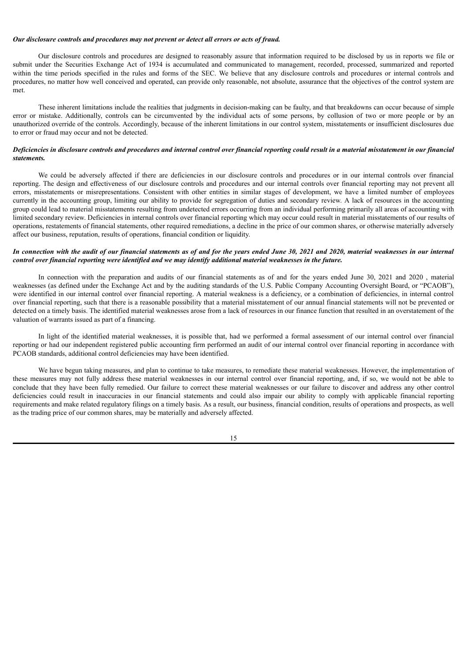# *Our disclosure controls and procedures may not prevent or detect all errors or acts of fraud.*

Our disclosure controls and procedures are designed to reasonably assure that information required to be disclosed by us in reports we file or submit under the Securities Exchange Act of 1934 is accumulated and communicated to management, recorded, processed, summarized and reported within the time periods specified in the rules and forms of the SEC. We believe that any disclosure controls and procedures or internal controls and procedures, no matter how well conceived and operated, can provide only reasonable, not absolute, assurance that the objectives of the control system are met.

These inherent limitations include the realities that judgments in decision-making can be faulty, and that breakdowns can occur because of simple error or mistake. Additionally, controls can be circumvented by the individual acts of some persons, by collusion of two or more people or by an unauthorized override of the controls. Accordingly, because of the inherent limitations in our control system, misstatements or insufficient disclosures due to error or fraud may occur and not be detected.

# Deficiencies in disclosure controls and procedures and internal control over financial reporting could result in a material misstatement in our financial *statements.*

We could be adversely affected if there are deficiencies in our disclosure controls and procedures or in our internal controls over financial reporting. The design and effectiveness of our disclosure controls and procedures and our internal controls over financial reporting may not prevent all errors, misstatements or misrepresentations. Consistent with other entities in similar stages of development, we have a limited number of employees currently in the accounting group, limiting our ability to provide for segregation of duties and secondary review. A lack of resources in the accounting group could lead to material misstatements resulting from undetected errors occurring from an individual performing primarily all areas of accounting with limited secondary review. Deficiencies in internal controls over financial reporting which may occur could result in material misstatements of our results of operations, restatements of financial statements, other required remediations, a decline in the price of our common shares, or otherwise materially adversely affect our business, reputation, results of operations, financial condition or liquidity.

# In connection with the audit of our financial statements as of and for the years ended June 30, 2021 and 2020, material weaknesses in our internal control over financial reporting were identified and we may identify additional material weaknesses in the future.

In connection with the preparation and audits of our financial statements as of and for the years ended June 30, 2021 and 2020 , material weaknesses (as defined under the Exchange Act and by the auditing standards of the U.S. Public Company Accounting Oversight Board, or "PCAOB"), were identified in our internal control over financial reporting. A material weakness is a deficiency, or a combination of deficiencies, in internal control over financial reporting, such that there is a reasonable possibility that a material misstatement of our annual financial statements will not be prevented or detected on a timely basis. The identified material weaknesses arose from a lack of resources in our finance function that resulted in an overstatement of the valuation of warrants issued as part of a financing.

In light of the identified material weaknesses, it is possible that, had we performed a formal assessment of our internal control over financial reporting or had our independent registered public accounting firm performed an audit of our internal control over financial reporting in accordance with PCAOB standards, additional control deficiencies may have been identified.

We have begun taking measures, and plan to continue to take measures, to remediate these material weaknesses. However, the implementation of these measures may not fully address these material weaknesses in our internal control over financial reporting, and, if so, we would not be able to conclude that they have been fully remedied. Our failure to correct these material weaknesses or our failure to discover and address any other control deficiencies could result in inaccuracies in our financial statements and could also impair our ability to comply with applicable financial reporting requirements and make related regulatory filings on a timely basis. As a result, our business, financial condition, results of operations and prospects, as well as the trading price of our common shares, may be materially and adversely affected.

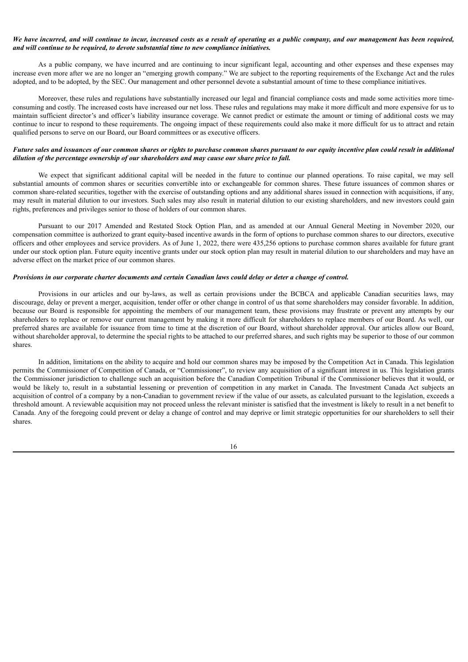# We have incurred, and will continue to incur, increased costs as a result of operating as a public company, and our management has been required, *and will continue to be required, to devote substantial time to new compliance initiatives.*

As a public company, we have incurred and are continuing to incur significant legal, accounting and other expenses and these expenses may increase even more after we are no longer an "emerging growth company." We are subject to the reporting requirements of the Exchange Act and the rules adopted, and to be adopted, by the SEC. Our management and other personnel devote a substantial amount of time to these compliance initiatives.

Moreover, these rules and regulations have substantially increased our legal and financial compliance costs and made some activities more timeconsuming and costly. The increased costs have increased our net loss. These rules and regulations may make it more difficult and more expensive for us to maintain sufficient director's and officer's liability insurance coverage. We cannot predict or estimate the amount or timing of additional costs we may continue to incur to respond to these requirements. The ongoing impact of these requirements could also make it more difficult for us to attract and retain qualified persons to serve on our Board, our Board committees or as executive officers.

# Future sales and issuances of our common shares or rights to purchase common shares pursuant to our equity incentive plan could result in additional *dilution of the percentage ownership of our shareholders and may cause our share price to fall.*

We expect that significant additional capital will be needed in the future to continue our planned operations. To raise capital, we may sell substantial amounts of common shares or securities convertible into or exchangeable for common shares. These future issuances of common shares or common share-related securities, together with the exercise of outstanding options and any additional shares issued in connection with acquisitions, if any, may result in material dilution to our investors. Such sales may also result in material dilution to our existing shareholders, and new investors could gain rights, preferences and privileges senior to those of holders of our common shares.

Pursuant to our 2017 Amended and Restated Stock Option Plan, and as amended at our Annual General Meeting in November 2020, our compensation committee is authorized to grant equity-based incentive awards in the form of options to purchase common shares to our directors, executive officers and other employees and service providers. As of June 1, 2022, there were 435,256 options to purchase common shares available for future grant under our stock option plan. Future equity incentive grants under our stock option plan may result in material dilution to our shareholders and may have an adverse effect on the market price of our common shares.

#### Provisions in our corporate charter documents and certain Canadian laws could delay or deter a change of control.

Provisions in our articles and our by-laws, as well as certain provisions under the BCBCA and applicable Canadian securities laws, may discourage, delay or prevent a merger, acquisition, tender offer or other change in control of us that some shareholders may consider favorable. In addition, because our Board is responsible for appointing the members of our management team, these provisions may frustrate or prevent any attempts by our shareholders to replace or remove our current management by making it more difficult for shareholders to replace members of our Board. As well, our preferred shares are available for issuance from time to time at the discretion of our Board, without shareholder approval. Our articles allow our Board, without shareholder approval, to determine the special rights to be attached to our preferred shares, and such rights may be superior to those of our common shares.

In addition, limitations on the ability to acquire and hold our common shares may be imposed by the Competition Act in Canada. This legislation permits the Commissioner of Competition of Canada, or "Commissioner", to review any acquisition of a significant interest in us. This legislation grants the Commissioner jurisdiction to challenge such an acquisition before the Canadian Competition Tribunal if the Commissioner believes that it would, or would be likely to, result in a substantial lessening or prevention of competition in any market in Canada. The Investment Canada Act subjects an acquisition of control of a company by a non-Canadian to government review if the value of our assets, as calculated pursuant to the legislation, exceeds a threshold amount. A reviewable acquisition may not proceed unless the relevant minister is satisfied that the investment is likely to result in a net benefit to Canada. Any of the foregoing could prevent or delay a change of control and may deprive or limit strategic opportunities for our shareholders to sell their shares.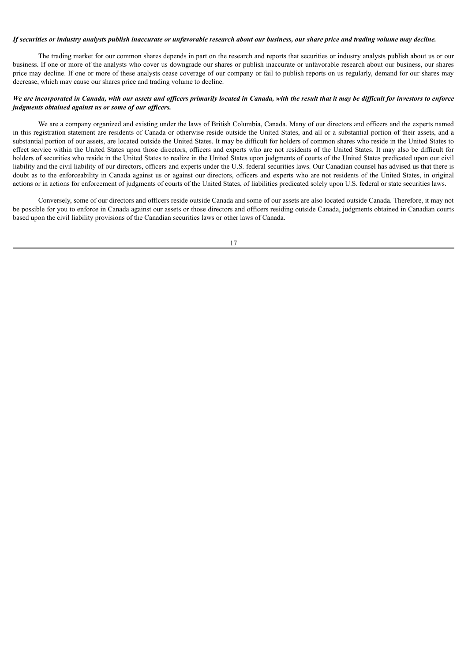# If securities or industry analysts publish inaccurate or unfavorable research about our business, our share price and trading volume may decline.

The trading market for our common shares depends in part on the research and reports that securities or industry analysts publish about us or our business. If one or more of the analysts who cover us downgrade our shares or publish inaccurate or unfavorable research about our business, our shares price may decline. If one or more of these analysts cease coverage of our company or fail to publish reports on us regularly, demand for our shares may decrease, which may cause our shares price and trading volume to decline.

# We are incorporated in Canada, with our assets and officers primarily located in Canada, with the result that it may be difficult for investors to enforce *judgments obtained against us or some of our of icers.*

We are a company organized and existing under the laws of British Columbia, Canada. Many of our directors and officers and the experts named in this registration statement are residents of Canada or otherwise reside outside the United States, and all or a substantial portion of their assets, and a substantial portion of our assets, are located outside the United States. It may be difficult for holders of common shares who reside in the United States to effect service within the United States upon those directors, officers and experts who are not residents of the United States. It may also be difficult for holders of securities who reside in the United States to realize in the United States upon judgments of courts of the United States predicated upon our civil liability and the civil liability of our directors, officers and experts under the U.S. federal securities laws. Our Canadian counsel has advised us that there is doubt as to the enforceability in Canada against us or against our directors, officers and experts who are not residents of the United States, in original actions or in actions for enforcement of judgments of courts of the United States, of liabilities predicated solely upon U.S. federal or state securities laws.

Conversely, some of our directors and officers reside outside Canada and some of our assets are also located outside Canada. Therefore, it may not be possible for you to enforce in Canada against our assets or those directors and officers residing outside Canada, judgments obtained in Canadian courts based upon the civil liability provisions of the Canadian securities laws or other laws of Canada.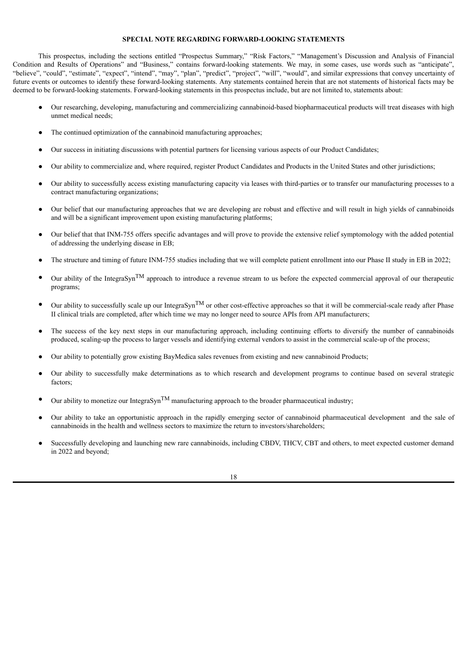# **SPECIAL NOTE REGARDING FORWARD-LOOKING STATEMENTS**

<span id="page-21-0"></span>This prospectus, including the sections entitled "Prospectus Summary," "Risk Factors," "Management's Discussion and Analysis of Financial Condition and Results of Operations" and "Business," contains forward-looking statements. We may, in some cases, use words such as "anticipate", "believe", "could", "estimate", "expect", "intend", "may", "plan", "predict", "project", "will", "would", and similar expressions that convey uncertainty of future events or outcomes to identify these forward-looking statements. Any statements contained herein that are not statements of historical facts may be deemed to be forward-looking statements. Forward-looking statements in this prospectus include, but are not limited to, statements about:

- Our researching, developing, manufacturing and commercializing cannabinoid-based biopharmaceutical products will treat diseases with high unmet medical needs;
- The continued optimization of the cannabinoid manufacturing approaches;
- Our success in initiating discussions with potential partners for licensing various aspects of our Product Candidates;
- Our ability to commercialize and, where required, register Product Candidates and Products in the United States and other jurisdictions;
- Our ability to successfully access existing manufacturing capacity via leases with third-parties or to transfer our manufacturing processes to a contract manufacturing organizations;
- Our belief that our manufacturing approaches that we are developing are robust and effective and will result in high yields of cannabinoids and will be a significant improvement upon existing manufacturing platforms;
- Our belief that that INM-755 offers specific advantages and will prove to provide the extensive relief symptomology with the added potential of addressing the underlying disease in EB;
- The structure and timing of future INM-755 studies including that we will complete patient enrollment into our Phase II study in EB in 2022;
- Our ability of the IntegraSyn<sup>TM</sup> approach to introduce a revenue stream to us before the expected commercial approval of our therapeutic programs;
- Our ability to successfully scale up our IntegraSyn<sup>TM</sup> or other cost-effective approaches so that it will be commercial-scale ready after Phase II clinical trials are completed, after which time we may no longer need to source APIs from API manufacturers;
- The success of the key next steps in our manufacturing approach, including continuing efforts to diversify the number of cannabinoids produced, scaling-up the process to larger vessels and identifying external vendors to assist in the commercial scale-up of the process;
- Our ability to potentially grow existing BayMedica sales revenues from existing and new cannabinoid Products;
- Our ability to successfully make determinations as to which research and development programs to continue based on several strategic factors;
- Our ability to monetize our IntegraSyn<sup>TM</sup> manufacturing approach to the broader pharmaceutical industry;
- Our ability to take an opportunistic approach in the rapidly emerging sector of cannabinoid pharmaceutical development and the sale of cannabinoids in the health and wellness sectors to maximize the return to investors/shareholders;
- Successfully developing and launching new rare cannabinoids, including CBDV, THCV, CBT and others, to meet expected customer demand in 2022 and beyond;

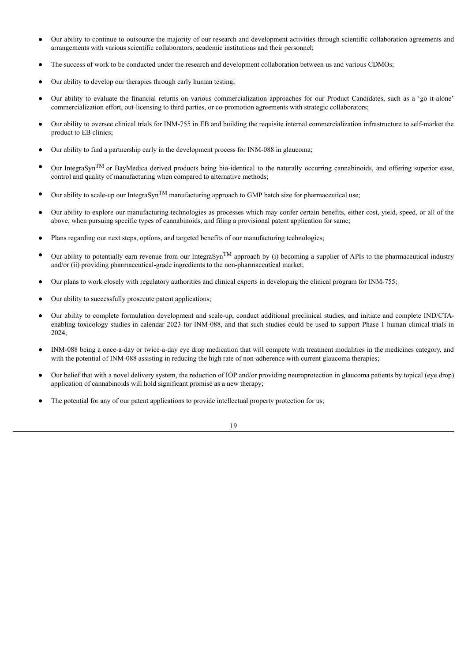- Our ability to continue to outsource the majority of our research and development activities through scientific collaboration agreements and arrangements with various scientific collaborators, academic institutions and their personnel;
- The success of work to be conducted under the research and development collaboration between us and various CDMOs;
- Our ability to develop our therapies through early human testing;
- Our ability to evaluate the financial returns on various commercialization approaches for our Product Candidates, such as a 'go it-alone' commercialization effort, out-licensing to third parties, or co-promotion agreements with strategic collaborators;
- Our ability to oversee clinical trials for INM-755 in EB and building the requisite internal commercialization infrastructure to self-market the product to EB clinics;
- Our ability to find a partnership early in the development process for INM-088 in glaucoma;
- Our IntegraSyn<sup>TM</sup> or BayMedica derived products being bio-identical to the naturally occurring cannabinoids, and offering superior ease, control and quality of manufacturing when compared to alternative methods;
- Our ability to scale-up our IntegraSyn<sup>TM</sup> manufacturing approach to GMP batch size for pharmaceutical use;
- Our ability to explore our manufacturing technologies as processes which may confer certain benefits, either cost, yield, speed, or all of the above, when pursuing specific types of cannabinoids, and filing a provisional patent application for same;
- Plans regarding our next steps, options, and targeted benefits of our manufacturing technologies;
- Our ability to potentially earn revenue from our IntegraSyn<sup>TM</sup> approach by (i) becoming a supplier of APIs to the pharmaceutical industry and/or (ii) providing pharmaceutical-grade ingredients to the non-pharmaceutical market;
- Our plans to work closely with regulatory authorities and clinical experts in developing the clinical program for INM-755;
- Our ability to successfully prosecute patent applications;
- Our ability to complete formulation development and scale-up, conduct additional preclinical studies, and initiate and complete IND/CTAenabling toxicology studies in calendar 2023 for INM-088, and that such studies could be used to support Phase 1 human clinical trials in 2024;
- INM-088 being a once-a-day or twice-a-day eye drop medication that will compete with treatment modalities in the medicines category, and with the potential of INM-088 assisting in reducing the high rate of non-adherence with current glaucoma therapies;
- Our belief that with a novel delivery system, the reduction of IOP and/or providing neuroprotection in glaucoma patients by topical (eye drop) application of cannabinoids will hold significant promise as a new therapy;
- The potential for any of our patent applications to provide intellectual property protection for us;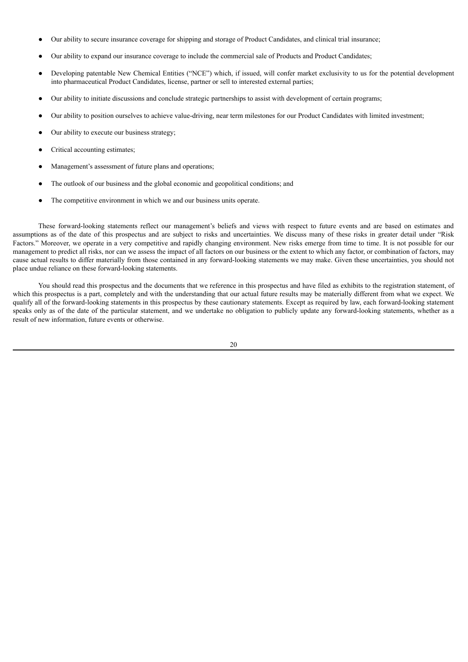- Our ability to secure insurance coverage for shipping and storage of Product Candidates, and clinical trial insurance;
- Our ability to expand our insurance coverage to include the commercial sale of Products and Product Candidates;
- Developing patentable New Chemical Entities ("NCE") which, if issued, will confer market exclusivity to us for the potential development into pharmaceutical Product Candidates, license, partner or sell to interested external parties;
- Our ability to initiate discussions and conclude strategic partnerships to assist with development of certain programs;
- Our ability to position ourselves to achieve value-driving, near term milestones for our Product Candidates with limited investment;
- Our ability to execute our business strategy;
- Critical accounting estimates;
- Management's assessment of future plans and operations;
- The outlook of our business and the global economic and geopolitical conditions; and
- The competitive environment in which we and our business units operate.

These forward-looking statements reflect our management's beliefs and views with respect to future events and are based on estimates and assumptions as of the date of this prospectus and are subject to risks and uncertainties. We discuss many of these risks in greater detail under "Risk Factors." Moreover, we operate in a very competitive and rapidly changing environment. New risks emerge from time to time. It is not possible for our management to predict all risks, nor can we assess the impact of all factors on our business or the extent to which any factor, or combination of factors, may cause actual results to differ materially from those contained in any forward-looking statements we may make. Given these uncertainties, you should not place undue reliance on these forward-looking statements.

You should read this prospectus and the documents that we reference in this prospectus and have filed as exhibits to the registration statement, of which this prospectus is a part, completely and with the understanding that our actual future results may be materially different from what we expect. We qualify all of the forward-looking statements in this prospectus by these cautionary statements. Except as required by law, each forward-looking statement speaks only as of the date of the particular statement, and we undertake no obligation to publicly update any forward-looking statements, whether as a result of new information, future events or otherwise.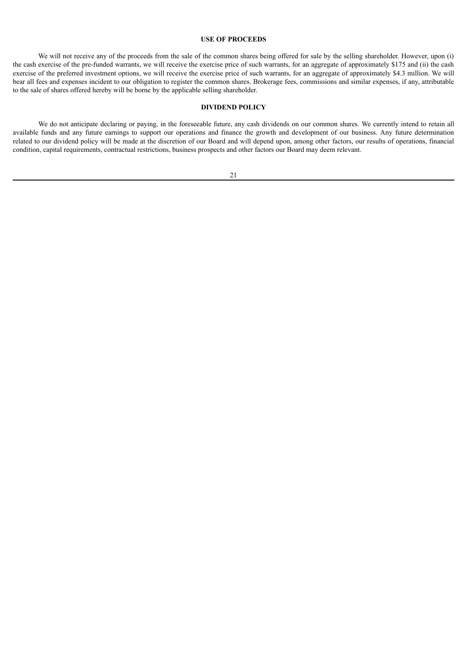# **USE OF PROCEEDS**

<span id="page-24-0"></span>We will not receive any of the proceeds from the sale of the common shares being offered for sale by the selling shareholder. However, upon (i) the cash exercise of the pre-funded warrants, we will receive the exercise price of such warrants, for an aggregate of approximately \$175 and (ii) the cash exercise of the preferred investment options, we will receive the exercise price of such warrants, for an aggregate of approximately \$4.3 million. We will bear all fees and expenses incident to our obligation to register the common shares. Brokerage fees, commissions and similar expenses, if any, attributable to the sale of shares offered hereby will be borne by the applicable selling shareholder.

# **DIVIDEND POLICY**

<span id="page-24-1"></span>We do not anticipate declaring or paying, in the foreseeable future, any cash dividends on our common shares. We currently intend to retain all available funds and any future earnings to support our operations and finance the growth and development of our business. Any future determination related to our dividend policy will be made at the discretion of our Board and will depend upon, among other factors, our results of operations, financial condition, capital requirements, contractual restrictions, business prospects and other factors our Board may deem relevant.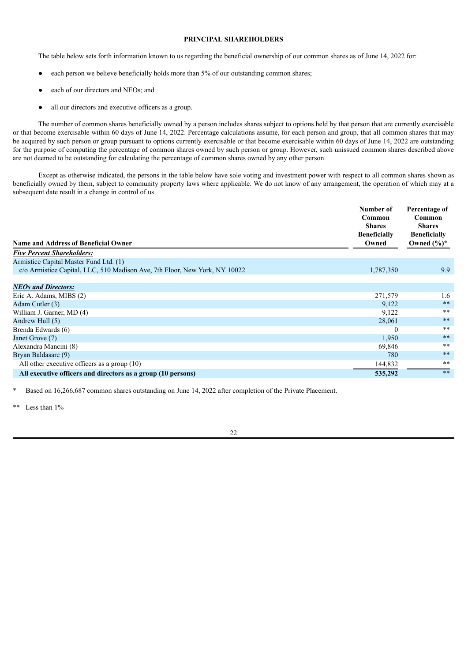# **PRINCIPAL SHAREHOLDERS**

<span id="page-25-0"></span>The table below sets forth information known to us regarding the beneficial ownership of our common shares as of June 14, 2022 for:

- each person we believe beneficially holds more than 5% of our outstanding common shares;
- each of our directors and NEOs; and
- all our directors and executive officers as a group.

The number of common shares beneficially owned by a person includes shares subject to options held by that person that are currently exercisable or that become exercisable within 60 days of June 14, 2022. Percentage calculations assume, for each person and group, that all common shares that may be acquired by such person or group pursuant to options currently exercisable or that become exercisable within 60 days of June 14, 2022 are outstanding for the purpose of computing the percentage of common shares owned by such person or group. However, such unissued common shares described above are not deemed to be outstanding for calculating the percentage of common shares owned by any other person.

Except as otherwise indicated, the persons in the table below have sole voting and investment power with respect to all common shares shown as beneficially owned by them, subject to community property laws where applicable. We do not know of any arrangement, the operation of which may at a subsequent date result in a change in control of us.

| Number of<br>Common<br><b>Shares</b><br><b>Beneficially</b><br><b>Name and Address of Beneficial Owner</b><br>Owned | Percentage of<br>Common<br><b>Shares</b><br><b>Beneficially</b> |
|---------------------------------------------------------------------------------------------------------------------|-----------------------------------------------------------------|
| <b>Five Percent Shareholders:</b>                                                                                   | Owned $(\%)^*$                                                  |
| Armistice Capital Master Fund Ltd. (1)                                                                              |                                                                 |
| c/o Armistice Capital, LLC, 510 Madison Ave, 7th Floor, New York, NY 10022<br>1,787,350                             | 9.9                                                             |
| <b>NEOs and Directors:</b>                                                                                          |                                                                 |
| Eric A. Adams, MIBS (2)<br>271,579                                                                                  | 1.6                                                             |
| Adam Cutler (3)                                                                                                     | $***$<br>9,122                                                  |
| William J. Garner, MD (4)                                                                                           | $***$<br>9,122                                                  |
| Andrew Hull (5)                                                                                                     | $**$<br>28,061                                                  |
| Brenda Edwards (6)                                                                                                  | $**$<br>$\theta$                                                |
| Janet Grove (7)                                                                                                     | $**$<br>1,950                                                   |
| Alexandra Mancini (8)                                                                                               | $**$<br>69,846                                                  |
| Bryan Baldasare (9)                                                                                                 | $***$<br>780                                                    |
| All other executive officers as a group $(10)$<br>144,832                                                           | $***$                                                           |
| 535,292<br>All executive officers and directors as a group (10 persons)                                             | $**$                                                            |

Based on 16,266,687 common shares outstanding on June 14, 2022 after completion of the Private Placement.

 $\Gamma$  ess than  $1\%$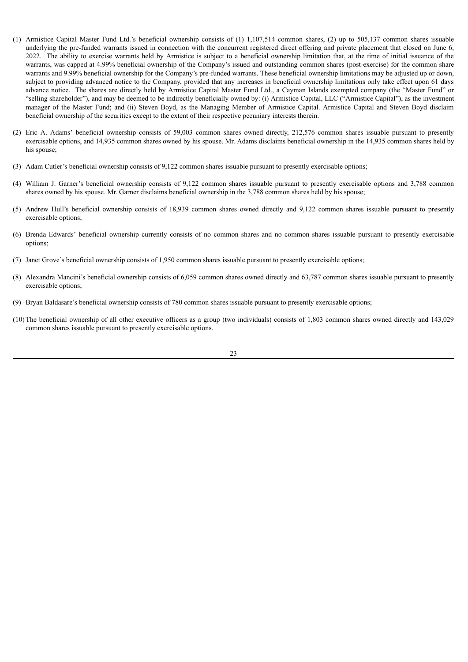- (1) Armistice Capital Master Fund Ltd.'s beneficial ownership consists of (1) 1,107,514 common shares, (2) up to 505,137 common shares issuable underlying the pre-funded warrants issued in connection with the concurrent registered direct offering and private placement that closed on June 6, 2022. The ability to exercise warrants held by Armistice is subject to a beneficial ownership limitation that, at the time of initial issuance of the warrants, was capped at 4.99% beneficial ownership of the Company's issued and outstanding common shares (post-exercise) for the common share warrants and 9.99% beneficial ownership for the Company's pre-funded warrants. These beneficial ownership limitations may be adjusted up or down, subject to providing advanced notice to the Company, provided that any increases in beneficial ownership limitations only take effect upon 61 days advance notice. The shares are directly held by Armistice Capital Master Fund Ltd., a Cayman Islands exempted company (the "Master Fund" or "selling shareholder"), and may be deemed to be indirectly beneficially owned by: (i) Armistice Capital, LLC ("Armistice Capital"), as the investment manager of the Master Fund; and (ii) Steven Boyd, as the Managing Member of Armistice Capital. Armistice Capital and Steven Boyd disclaim beneficial ownership of the securities except to the extent of their respective pecuniary interests therein.
- (2) Eric A. Adams' beneficial ownership consists of 59,003 common shares owned directly, 212,576 common shares issuable pursuant to presently exercisable options, and 14,935 common shares owned by his spouse. Mr. Adams disclaims beneficial ownership in the 14,935 common shares held by his spouse:
- (3) Adam Cutler's beneficial ownership consists of 9,122 common shares issuable pursuant to presently exercisable options;
- (4) William J. Garner's beneficial ownership consists of 9,122 common shares issuable pursuant to presently exercisable options and 3,788 common shares owned by his spouse. Mr. Garner disclaims beneficial ownership in the 3,788 common shares held by his spouse;
- (5) Andrew Hull's beneficial ownership consists of 18,939 common shares owned directly and 9,122 common shares issuable pursuant to presently exercisable options;
- (6) Brenda Edwards' beneficial ownership currently consists of no common shares and no common shares issuable pursuant to presently exercisable options;
- (7) Janet Grove's beneficial ownership consists of 1,950 common shares issuable pursuant to presently exercisable options;
- (8) Alexandra Mancini's beneficial ownership consists of 6,059 common shares owned directly and 63,787 common shares issuable pursuant to presently exercisable options;
- (9) Bryan Baldasare's beneficial ownership consists of 780 common shares issuable pursuant to presently exercisable options;
- (10)The beneficial ownership of all other executive officers as a group (two individuals) consists of 1,803 common shares owned directly and 143,029 common shares issuable pursuant to presently exercisable options.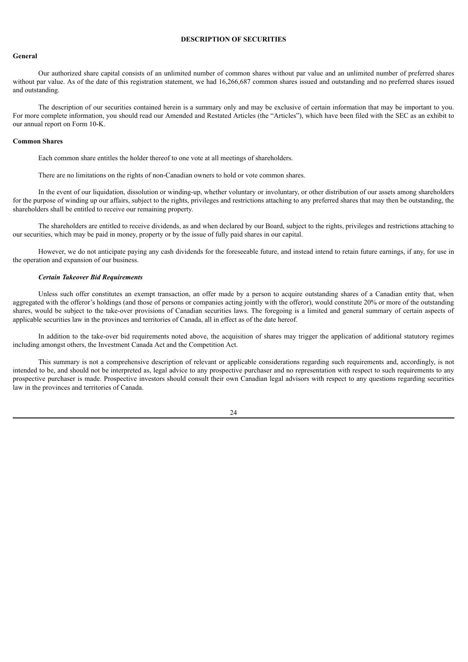# **DESCRIPTION OF SECURITIES**

# <span id="page-27-0"></span>**General**

Our authorized share capital consists of an unlimited number of common shares without par value and an unlimited number of preferred shares without par value. As of the date of this registration statement, we had 16,266,687 common shares issued and outstanding and no preferred shares issued and outstanding.

The description of our securities contained herein is a summary only and may be exclusive of certain information that may be important to you. For more complete information, you should read our Amended and Restated Articles (the "Articles"), which have been filed with the SEC as an exhibit to our annual report on Form 10-K.

#### **Common Shares**

Each common share entitles the holder thereof to one vote at all meetings of shareholders.

There are no limitations on the rights of non-Canadian owners to hold or vote common shares.

In the event of our liquidation, dissolution or winding-up, whether voluntary or involuntary, or other distribution of our assets among shareholders for the purpose of winding up our affairs, subject to the rights, privileges and restrictions attaching to any preferred shares that may then be outstanding, the shareholders shall be entitled to receive our remaining property.

The shareholders are entitled to receive dividends, as and when declared by our Board, subject to the rights, privileges and restrictions attaching to our securities, which may be paid in money, property or by the issue of fully paid shares in our capital.

However, we do not anticipate paying any cash dividends for the foreseeable future, and instead intend to retain future earnings, if any, for use in the operation and expansion of our business.

#### *Certain Takeover Bid Requirements*

Unless such offer constitutes an exempt transaction, an offer made by a person to acquire outstanding shares of a Canadian entity that, when aggregated with the offeror's holdings (and those of persons or companies acting jointly with the offeror), would constitute 20% or more of the outstanding shares, would be subject to the take-over provisions of Canadian securities laws. The foregoing is a limited and general summary of certain aspects of applicable securities law in the provinces and territories of Canada, all in effect as of the date hereof.

In addition to the take-over bid requirements noted above, the acquisition of shares may trigger the application of additional statutory regimes including amongst others, the Investment Canada Act and the Competition Act.

This summary is not a comprehensive description of relevant or applicable considerations regarding such requirements and, accordingly, is not intended to be, and should not be interpreted as, legal advice to any prospective purchaser and no representation with respect to such requirements to any prospective purchaser is made. Prospective investors should consult their own Canadian legal advisors with respect to any questions regarding securities law in the provinces and territories of Canada.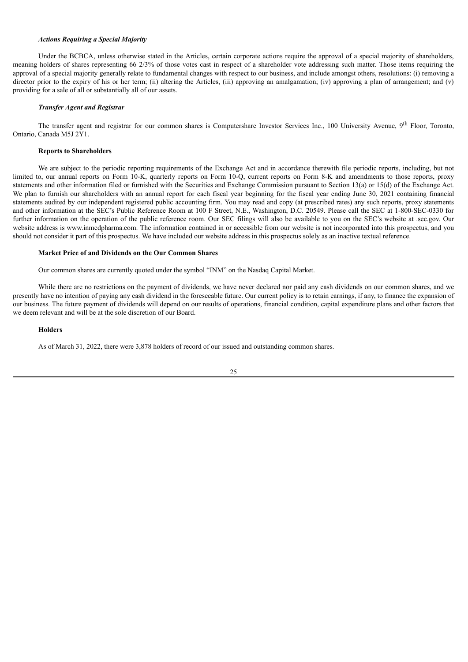# *Actions Requiring a Special Majority*

Under the BCBCA, unless otherwise stated in the Articles, certain corporate actions require the approval of a special majority of shareholders, meaning holders of shares representing 66 2/3% of those votes cast in respect of a shareholder vote addressing such matter. Those items requiring the approval of a special majority generally relate to fundamental changes with respect to our business, and include amongst others, resolutions: (i) removing a director prior to the expiry of his or her term; (ii) altering the Articles, (iii) approving an amalgamation; (iv) approving a plan of arrangement; and (v) providing for a sale of all or substantially all of our assets.

# *Transfer Agent and Registrar*

The transfer agent and registrar for our common shares is Computershare Investor Services Inc., 100 University Avenue, 9<sup>th</sup> Floor, Toronto, Ontario, Canada M5J 2Y1.

#### **Reports to Shareholders**

We are subject to the periodic reporting requirements of the Exchange Act and in accordance therewith file periodic reports, including, but not limited to, our annual reports on Form 10-K, quarterly reports on Form 10-Q, current reports on Form 8-K and amendments to those reports, proxy statements and other information filed or furnished with the Securities and Exchange Commission pursuant to Section 13(a) or 15(d) of the Exchange Act. We plan to furnish our shareholders with an annual report for each fiscal year beginning for the fiscal year ending June 30, 2021 containing financial statements audited by our independent registered public accounting firm. You may read and copy (at prescribed rates) any such reports, proxy statements and other information at the SEC's Public Reference Room at 100 F Street, N.E., Washington, D.C. 20549. Please call the SEC at 1-800-SEC-0330 for further information on the operation of the public reference room. Our SEC filings will also be available to you on the SEC's website at .sec.gov. Our website address is www.inmedpharma.com. The information contained in or accessible from our website is not incorporated into this prospectus, and you should not consider it part of this prospectus. We have included our website address in this prospectus solely as an inactive textual reference.

#### **Market Price of and Dividends on the Our Common Shares**

Our common shares are currently quoted under the symbol "INM" on the Nasdaq Capital Market.

While there are no restrictions on the payment of dividends, we have never declared nor paid any cash dividends on our common shares, and we presently have no intention of paying any cash dividend in the foreseeable future. Our current policy is to retain earnings, if any, to finance the expansion of our business. The future payment of dividends will depend on our results of operations, financial condition, capital expenditure plans and other factors that we deem relevant and will be at the sole discretion of our Board.

#### **Holders**

As of March 31, 2022, there were 3,878 holders of record of our issued and outstanding common shares.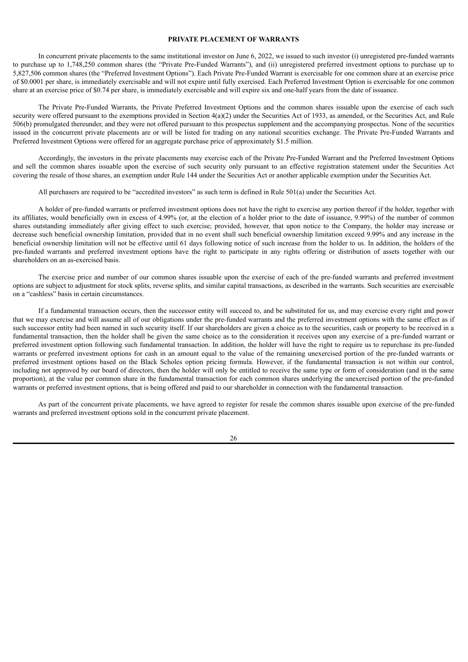# **PRIVATE PLACEMENT OF WARRANTS**

<span id="page-29-0"></span>In concurrent private placements to the same institutional investor on June 6, 2022, we issued to such investor (i) unregistered pre-funded warrants to purchase up to 1,748,250 common shares (the "Private Pre-Funded Warrants"), and (ii) unregistered preferred investment options to purchase up to 5,827,506 common shares (the "Preferred Investment Options"). Each Private Pre-Funded Warrant is exercisable for one common share at an exercise price of \$0.0001 per share, is immediately exercisable and will not expire until fully exercised. Each Preferred Investment Option is exercisable for one common share at an exercise price of \$0.74 per share, is immediately exercisable and will expire six and one-half years from the date of issuance.

The Private Pre-Funded Warrants, the Private Preferred Investment Options and the common shares issuable upon the exercise of each such security were offered pursuant to the exemptions provided in Section  $4(a)(2)$  under the Securities Act of 1933, as amended, or the Securities Act, and Rule 506(b) promulgated thereunder, and they were not offered pursuant to this prospectus supplement and the accompanying prospectus. None of the securities issued in the concurrent private placements are or will be listed for trading on any national securities exchange. The Private Pre-Funded Warrants and Preferred Investment Options were offered for an aggregate purchase price of approximately \$1.5 million.

Accordingly, the investors in the private placements may exercise each of the Private Pre-Funded Warrant and the Preferred Investment Options and sell the common shares issuable upon the exercise of such security only pursuant to an effective registration statement under the Securities Act covering the resale of those shares, an exemption under Rule 144 under the Securities Act or another applicable exemption under the Securities Act.

All purchasers are required to be "accredited investors" as such term is defined in Rule 501(a) under the Securities Act.

A holder of pre-funded warrants or preferred investment options does not have the right to exercise any portion thereof if the holder, together with its affiliates, would beneficially own in excess of 4.99% (or, at the election of a holder prior to the date of issuance, 9.99%) of the number of common shares outstanding immediately after giving effect to such exercise; provided, however, that upon notice to the Company, the holder may increase or decrease such beneficial ownership limitation, provided that in no event shall such beneficial ownership limitation exceed 9.99% and any increase in the beneficial ownership limitation will not be effective until 61 days following notice of such increase from the holder to us. In addition, the holders of the pre-funded warrants and preferred investment options have the right to participate in any rights offering or distribution of assets together with our shareholders on an as-exercised basis.

The exercise price and number of our common shares issuable upon the exercise of each of the pre-funded warrants and preferred investment options are subject to adjustment for stock splits, reverse splits, and similar capital transactions, as described in the warrants. Such securities are exercisable on a "cashless" basis in certain circumstances.

If a fundamental transaction occurs, then the successor entity will succeed to, and be substituted for us, and may exercise every right and power that we may exercise and will assume all of our obligations under the pre-funded warrants and the preferred investment options with the same effect as if such successor entity had been named in such security itself. If our shareholders are given a choice as to the securities, cash or property to be received in a fundamental transaction, then the holder shall be given the same choice as to the consideration it receives upon any exercise of a pre-funded warrant or preferred investment option following such fundamental transaction. In addition, the holder will have the right to require us to repurchase its pre-funded warrants or preferred investment options for cash in an amount equal to the value of the remaining unexercised portion of the pre-funded warrants or preferred investment options based on the Black Scholes option pricing formula. However, if the fundamental transaction is not within our control, including not approved by our board of directors, then the holder will only be entitled to receive the same type or form of consideration (and in the same proportion), at the value per common share in the fundamental transaction for each common shares underlying the unexercised portion of the pre-funded warrants or preferred investment options, that is being offered and paid to our shareholder in connection with the fundamental transaction.

As part of the concurrent private placements, we have agreed to register for resale the common shares issuable upon exercise of the pre-funded warrants and preferred investment options sold in the concurrent private placement.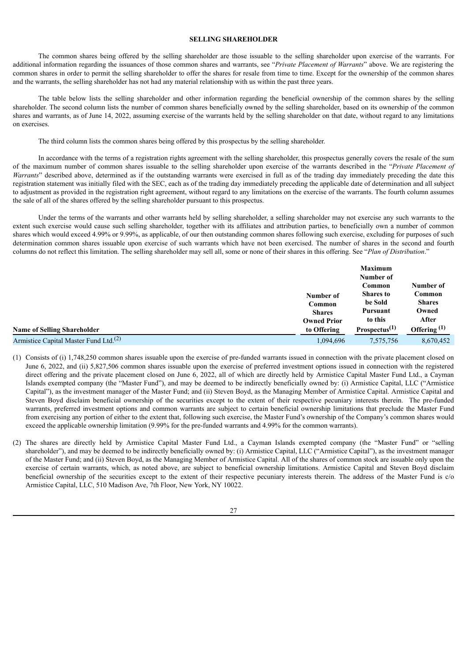# **SELLING SHAREHOLDER**

The common shares being offered by the selling shareholder are those issuable to the selling shareholder upon exercise of the warrants. For additional information regarding the issuances of those common shares and warrants, see "*Private Placement of Warrants*" above. We are registering the common shares in order to permit the selling shareholder to offer the shares for resale from time to time. Except for the ownership of the common shares and the warrants, the selling shareholder has not had any material relationship with us within the past three years.

The table below lists the selling shareholder and other information regarding the beneficial ownership of the common shares by the selling shareholder. The second column lists the number of common shares beneficially owned by the selling shareholder, based on its ownership of the common shares and warrants, as of June 14, 2022, assuming exercise of the warrants held by the selling shareholder on that date, without regard to any limitations on exercises.

The third column lists the common shares being offered by this prospectus by the selling shareholder.

In accordance with the terms of a registration rights agreement with the selling shareholder, this prospectus generally covers the resale of the sum of the maximum number of common shares issuable to the selling shareholder upon exercise of the warrants described in the "*Private Placement of Warrants*" described above, determined as if the outstanding warrants were exercised in full as of the trading day immediately preceding the date this registration statement was initially filed with the SEC, each as of the trading day immediately preceding the applicable date of determination and all subject to adjustment as provided in the registration right agreement, without regard to any limitations on the exercise of the warrants. The fourth column assumes the sale of all of the shares offered by the selling shareholder pursuant to this prospectus.

Under the terms of the warrants and other warrants held by selling shareholder, a selling shareholder may not exercise any such warrants to the extent such exercise would cause such selling shareholder, together with its affiliates and attribution parties, to beneficially own a number of common shares which would exceed 4.99% or 9.99%, as applicable, of our then outstanding common shares following such exercise, excluding for purposes of such determination common shares issuable upon exercise of such warrants which have not been exercised. The number of shares in the second and fourth columns do not reflect this limitation. The selling shareholder may sell all, some or none of their shares in this offering. See "*Plan of Distribution*."

|                                                   |                    | <b>Maximum</b>            |                |
|---------------------------------------------------|--------------------|---------------------------|----------------|
|                                                   |                    | Number of                 |                |
|                                                   |                    | Common                    | Number of      |
|                                                   | Number of          | <b>Shares to</b>          | Common         |
|                                                   | Common             | be Sold                   | <b>Shares</b>  |
|                                                   | <b>Shares</b>      | <b>Pursuant</b>           | Owned          |
|                                                   | <b>Owned Prior</b> | to this                   | After          |
| <b>Name of Selling Shareholder</b>                | to Offering        | Prospecies <sup>(1)</sup> | Offering $(1)$ |
| Armistice Capital Master Fund Ltd. <sup>(2)</sup> | 1.094.696          | 7,575,756                 | 8,670,452      |

- (1) Consists of (i) 1,748,250 common shares issuable upon the exercise of pre-funded warrants issued in connection with the private placement closed on June 6, 2022, and (ii) 5,827,506 common shares issuable upon the exercise of preferred investment options issued in connection with the registered direct offering and the private placement closed on June 6, 2022, all of which are directly held by Armistice Capital Master Fund Ltd., a Cayman Islands exempted company (the "Master Fund"), and may be deemed to be indirectly beneficially owned by: (i) Armistice Capital, LLC ("Armistice Capital"), as the investment manager of the Master Fund; and (ii) Steven Boyd, as the Managing Member of Armistice Capital. Armistice Capital and Steven Boyd disclaim beneficial ownership of the securities except to the extent of their respective pecuniary interests therein. The pre-funded warrants, preferred investment options and common warrants are subject to certain beneficial ownership limitations that preclude the Master Fund from exercising any portion of either to the extent that, following such exercise, the Master Fund's ownership of the Company's common shares would exceed the applicable ownership limitation (9.99% for the pre-funded warrants and 4.99% for the common warrants).
- (2) The shares are directly held by Armistice Capital Master Fund Ltd., a Cayman Islands exempted company (the "Master Fund" or "selling shareholder"), and may be deemed to be indirectly beneficially owned by: (i) Armistice Capital, LLC ("Armistice Capital"), as the investment manager of the Master Fund; and (ii) Steven Boyd, as the Managing Member of Armistice Capital. All of the shares of common stock are issuable only upon the exercise of certain warrants, which, as noted above, are subject to beneficial ownership limitations. Armistice Capital and Steven Boyd disclaim beneficial ownership of the securities except to the extent of their respective pecuniary interests therein. The address of the Master Fund is c/o Armistice Capital, LLC, 510 Madison Ave, 7th Floor, New York, NY 10022.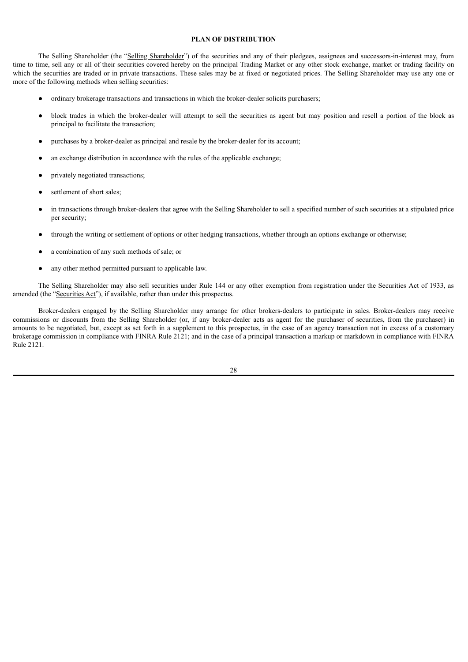# **PLAN OF DISTRIBUTION**

<span id="page-31-0"></span>The Selling Shareholder (the "Selling Shareholder") of the securities and any of their pledgees, assignees and successors-in-interest may, from time to time, sell any or all of their securities covered hereby on the principal Trading Market or any other stock exchange, market or trading facility on which the securities are traded or in private transactions. These sales may be at fixed or negotiated prices. The Selling Shareholder may use any one or more of the following methods when selling securities:

- ordinary brokerage transactions and transactions in which the broker-dealer solicits purchasers;
- block trades in which the broker-dealer will attempt to sell the securities as agent but may position and resell a portion of the block as principal to facilitate the transaction;
- purchases by a broker-dealer as principal and resale by the broker-dealer for its account;
- an exchange distribution in accordance with the rules of the applicable exchange;
- privately negotiated transactions;
- settlement of short sales;
- in transactions through broker-dealers that agree with the Selling Shareholder to sell a specified number of such securities at a stipulated price per security;
- through the writing or settlement of options or other hedging transactions, whether through an options exchange or otherwise;
- a combination of any such methods of sale; or
- any other method permitted pursuant to applicable law.

The Selling Shareholder may also sell securities under Rule 144 or any other exemption from registration under the Securities Act of 1933, as amended (the "Securities Act"), if available, rather than under this prospectus.

Broker-dealers engaged by the Selling Shareholder may arrange for other brokers-dealers to participate in sales. Broker-dealers may receive commissions or discounts from the Selling Shareholder (or, if any broker-dealer acts as agent for the purchaser of securities, from the purchaser) in amounts to be negotiated, but, except as set forth in a supplement to this prospectus, in the case of an agency transaction not in excess of a customary brokerage commission in compliance with FINRA Rule 2121; and in the case of a principal transaction a markup or markdown in compliance with FINRA Rule 2121.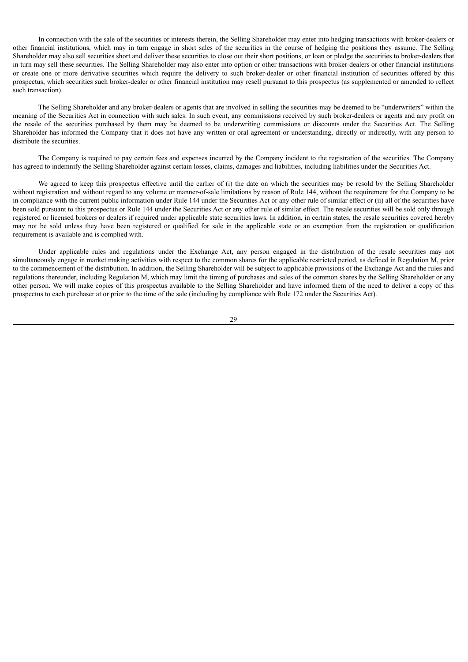In connection with the sale of the securities or interests therein, the Selling Shareholder may enter into hedging transactions with broker-dealers or other financial institutions, which may in turn engage in short sales of the securities in the course of hedging the positions they assume. The Selling Shareholder may also sell securities short and deliver these securities to close out their short positions, or loan or pledge the securities to broker-dealers that in turn may sell these securities. The Selling Shareholder may also enter into option or other transactions with broker-dealers or other financial institutions or create one or more derivative securities which require the delivery to such broker-dealer or other financial institution of securities offered by this prospectus, which securities such broker-dealer or other financial institution may resell pursuant to this prospectus (as supplemented or amended to reflect such transaction).

The Selling Shareholder and any broker-dealers or agents that are involved in selling the securities may be deemed to be "underwriters" within the meaning of the Securities Act in connection with such sales. In such event, any commissions received by such broker-dealers or agents and any profit on the resale of the securities purchased by them may be deemed to be underwriting commissions or discounts under the Securities Act. The Selling Shareholder has informed the Company that it does not have any written or oral agreement or understanding, directly or indirectly, with any person to distribute the securities.

The Company is required to pay certain fees and expenses incurred by the Company incident to the registration of the securities. The Company has agreed to indemnify the Selling Shareholder against certain losses, claims, damages and liabilities, including liabilities under the Securities Act.

We agreed to keep this prospectus effective until the earlier of (i) the date on which the securities may be resold by the Selling Shareholder without registration and without regard to any volume or manner-of-sale limitations by reason of Rule 144, without the requirement for the Company to be in compliance with the current public information under Rule 144 under the Securities Act or any other rule of similar effect or (ii) all of the securities have been sold pursuant to this prospectus or Rule 144 under the Securities Act or any other rule of similar effect. The resale securities will be sold only through registered or licensed brokers or dealers if required under applicable state securities laws. In addition, in certain states, the resale securities covered hereby may not be sold unless they have been registered or qualified for sale in the applicable state or an exemption from the registration or qualification requirement is available and is complied with.

Under applicable rules and regulations under the Exchange Act, any person engaged in the distribution of the resale securities may not simultaneously engage in market making activities with respect to the common shares for the applicable restricted period, as defined in Regulation M, prior to the commencement of the distribution. In addition, the Selling Shareholder will be subject to applicable provisions of the Exchange Act and the rules and regulations thereunder, including Regulation M, which may limit the timing of purchases and sales of the common shares by the Selling Shareholder or any other person. We will make copies of this prospectus available to the Selling Shareholder and have informed them of the need to deliver a copy of this prospectus to each purchaser at or prior to the time of the sale (including by compliance with Rule 172 under the Securities Act).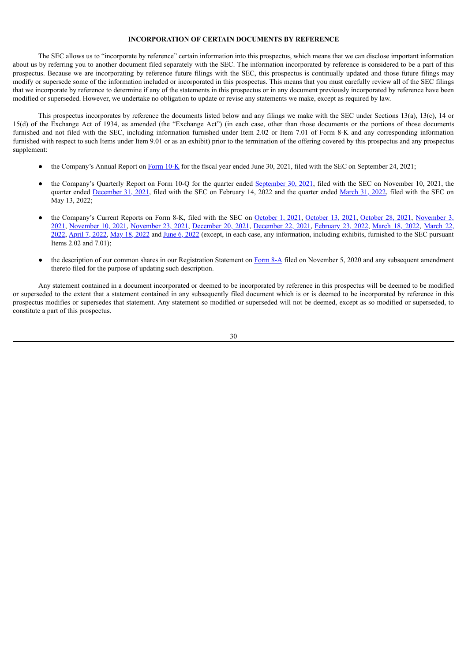# **INCORPORATION OF CERTAIN DOCUMENTS BY REFERENCE**

<span id="page-33-0"></span>The SEC allows us to "incorporate by reference" certain information into this prospectus, which means that we can disclose important information about us by referring you to another document filed separately with the SEC. The information incorporated by reference is considered to be a part of this prospectus. Because we are incorporating by reference future filings with the SEC, this prospectus is continually updated and those future filings may modify or supersede some of the information included or incorporated in this prospectus. This means that you must carefully review all of the SEC filings that we incorporate by reference to determine if any of the statements in this prospectus or in any document previously incorporated by reference have been modified or superseded. However, we undertake no obligation to update or revise any statements we make, except as required by law.

This prospectus incorporates by reference the documents listed below and any filings we make with the SEC under Sections 13(a), 13(c), 14 or 15(d) of the Exchange Act of 1934, as amended (the "Exchange Act") (in each case, other than those documents or the portions of those documents furnished and not filed with the SEC, including information furnished under Item 2.02 or Item 7.01 of Form 8-K and any corresponding information furnished with respect to such Items under Item 9.01 or as an exhibit) prior to the termination of the offering covered by this prospectus and any prospectus supplement:

- the Company's Annual Report on [Form](http://www.sec.gov/ix?doc=/Archives/edgar/data/1728328/000121390021049679/f10k2021_inmedpharma.htm) 10-K for the fiscal year ended June 30, 2021, filed with the SEC on September 24, 2021;
- the Company's Quarterly Report on Form 10-Q for the quarter ended [September](http://www.sec.gov/ix?doc=/Archives/edgar/data/1728328/000121390021057944/f10q0921_inmedpharma.htm) 30, 2021, filed with the SEC on November 10, 2021, the quarter ended [December](http://www.sec.gov/ix?doc=/Archives/edgar/data/1728328/000121390022007611/f10q1221_inmedpharma.htm) 31, 2021, filed with the SEC on February 14, 2022 and the quarter ended [March](http://www.sec.gov/ix?doc=/Archives/edgar/data/1728328/000121390022026136/f10q0322_inmedpharma.htm) 31, 2022, filed with the SEC on May 13, 2022;
- the [Company's](http://www.sec.gov/ix?doc=/Archives/edgar/data/1728328/000121390021056413/ea149890-8k_inmedpharma.htm) Current Reports on Form 8-K, filed with the SEC on [October](http://www.sec.gov/ix?doc=/Archives/edgar/data/1728328/000121390021055028/ea149535-8k_inmedpharma.htm) 1, 2021, October 13, 2021, October 28, 2021, November 3, 2021, [November](http://www.sec.gov/ix?doc=/Archives/edgar/data/1728328/000121390021058042/ea150352-8k_inmedpharma.htm) 10, 2021, [November](https://www.sec.gov/ix?doc=/Archives/edgar/data/1728328/000121390021061496/ea151268-8k_inmedpharma.htm) 23, 2021, [December](http://www.sec.gov/ix?doc=/Archives/edgar/data/1728328/000121390021066114/ea152607-8k_inmedpharma.htm) 20, 2021, [December](http://www.sec.gov/ix?doc=/Archives/edgar/data/1728328/000121390021066831/ea152864-8ka1_inmedphar.htm) 22, 2021, [February](http://www.sec.gov/ix?doc=/Archives/edgar/data/1728328/000121390022008887/ea156089-8k_inmedpharma.htm) 23, 2022, [March](http://www.sec.gov/ix?doc=/Archives/edgar/data/1728328/000121390022013457/ea157098-8k_inmedpharma.htm) 18, 2022, March 22, 2022, [April](http://www.sec.gov/ix?doc=/Archives/edgar/data/1728328/000121390022018705/ea158188-8k_inmedpharma.htm) 7, [2022](http://www.sec.gov/ix?doc=/Archives/edgar/data/1728328/000121390022031258/ea161175-8k_inmedphar.htm), May 18, 2022 and June 6, 2022 (except, in each case, any [information,](http://www.sec.gov/ix?doc=/Archives/edgar/data/1728328/000121390022013976/ea157216-8k_inmedpharma.htm) including exhibits, furnished to the SEC pursuant Items 2.02 and 7.01);
- the description of our common shares in our Registration Statement on [Form](http://www.sec.gov/Archives/edgar/data/1728328/000119312520285837/d72199d8a12b.htm) 8-A filed on November 5, 2020 and any subsequent amendment thereto filed for the purpose of updating such description.

Any statement contained in a document incorporated or deemed to be incorporated by reference in this prospectus will be deemed to be modified or superseded to the extent that a statement contained in any subsequently filed document which is or is deemed to be incorporated by reference in this prospectus modifies or supersedes that statement. Any statement so modified or superseded will not be deemed, except as so modified or superseded, to constitute a part of this prospectus.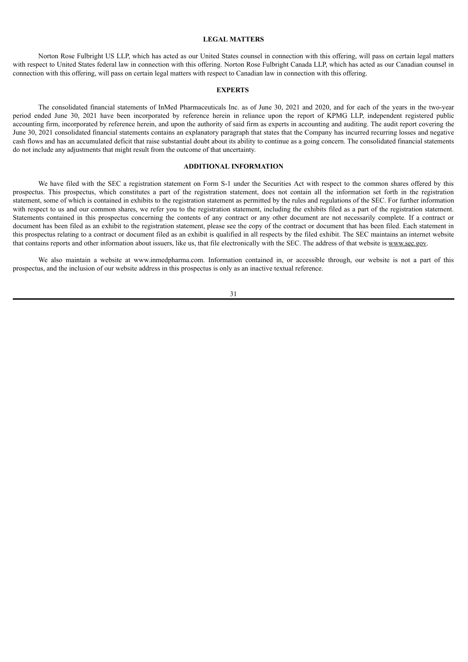#### **LEGAL MATTERS**

<span id="page-34-0"></span>Norton Rose Fulbright US LLP, which has acted as our United States counsel in connection with this offering, will pass on certain legal matters with respect to United States federal law in connection with this offering. Norton Rose Fulbright Canada LLP, which has acted as our Canadian counsel in connection with this offering, will pass on certain legal matters with respect to Canadian law in connection with this offering.

#### **EXPERTS**

<span id="page-34-1"></span>The consolidated financial statements of InMed Pharmaceuticals Inc. as of June 30, 2021 and 2020, and for each of the years in the two-year period ended June 30, 2021 have been incorporated by reference herein in reliance upon the report of KPMG LLP, independent registered public accounting firm, incorporated by reference herein, and upon the authority of said firm as experts in accounting and auditing. The audit report covering the June 30, 2021 consolidated financial statements contains an explanatory paragraph that states that the Company has incurred recurring losses and negative cash flows and has an accumulated deficit that raise substantial doubt about its ability to continue as a going concern. The consolidated financial statements do not include any adjustments that might result from the outcome of that uncertainty.

# **ADDITIONAL INFORMATION**

<span id="page-34-2"></span>We have filed with the SEC a registration statement on Form S-1 under the Securities Act with respect to the common shares offered by this prospectus. This prospectus, which constitutes a part of the registration statement, does not contain all the information set forth in the registration statement, some of which is contained in exhibits to the registration statement as permitted by the rules and regulations of the SEC. For further information with respect to us and our common shares, we refer you to the registration statement, including the exhibits filed as a part of the registration statement. Statements contained in this prospectus concerning the contents of any contract or any other document are not necessarily complete. If a contract or document has been filed as an exhibit to the registration statement, please see the copy of the contract or document that has been filed. Each statement in this prospectus relating to a contract or document filed as an exhibit is qualified in all respects by the filed exhibit. The SEC maintains an internet website that contains reports and other information about issuers, like us, that file electronically with the SEC. The address of that website is www.sec.gov.

We also maintain a website at www.inmedpharma.com. Information contained in, or accessible through, our website is not a part of this prospectus, and the inclusion of our website address in this prospectus is only as an inactive textual reference.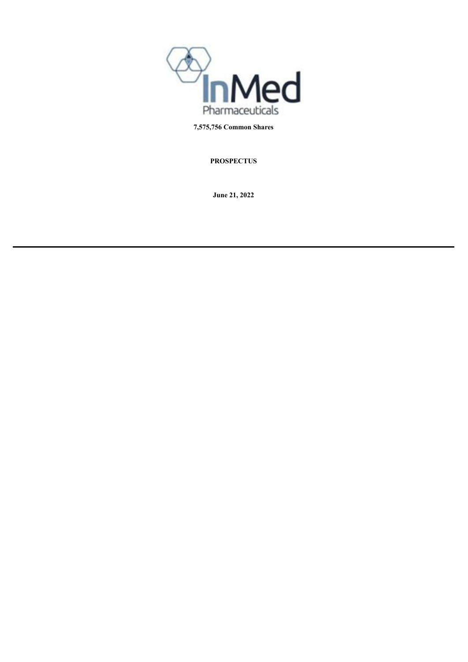

**7,575,756 Common Shares**

**PROSPECTUS**

**June 21, 2022**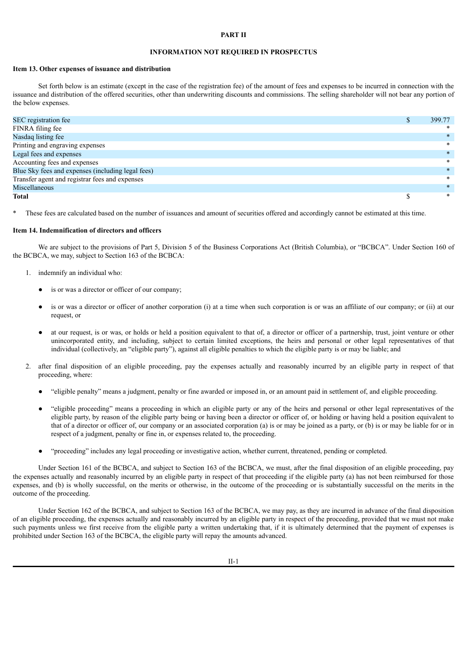#### **PART II**

# **INFORMATION NOT REQUIRED IN PROSPECTUS**

# **Item 13. Other expenses of issuance and distribution**

Set forth below is an estimate (except in the case of the registration fee) of the amount of fees and expenses to be incurred in connection with the issuance and distribution of the offered securities, other than underwriting discounts and commissions. The selling shareholder will not bear any portion of the below expenses.

| SEC registration fee                              | 399.77 |
|---------------------------------------------------|--------|
| FINRA filing fee                                  | ∗      |
| Nasdaq listing fee                                | $\ast$ |
| Printing and engraving expenses                   | $\ast$ |
| Legal fees and expenses                           | ∗      |
| Accounting fees and expenses                      | $\ast$ |
| Blue Sky fees and expenses (including legal fees) | $\ast$ |
| Transfer agent and registrar fees and expenses    | $\ast$ |
| Miscellaneous                                     | ∗      |
| <b>Total</b>                                      | $\ast$ |

These fees are calculated based on the number of issuances and amount of securities offered and accordingly cannot be estimated at this time.

#### **Item 14. Indemnification of directors and officers**

We are subject to the provisions of Part 5. Division 5 of the Business Corporations Act (British Columbia), or "BCBCA". Under Section 160 of the BCBCA, we may, subject to Section 163 of the BCBCA:

- 1. indemnify an individual who:
	- is or was a director or officer of our company;
	- is or was a director or officer of another corporation (i) at a time when such corporation is or was an affiliate of our company; or (ii) at our request, or
	- at our request, is or was, or holds or held a position equivalent to that of, a director or officer of a partnership, trust, joint venture or other unincorporated entity, and including, subject to certain limited exceptions, the heirs and personal or other legal representatives of that individual (collectively, an "eligible party"), against all eligible penalties to which the eligible party is or may be liable; and
- 2. after final disposition of an eligible proceeding, pay the expenses actually and reasonably incurred by an eligible party in respect of that proceeding, where:
	- "eligible penalty" means a judgment, penalty or fine awarded or imposed in, or an amount paid in settlement of, and eligible proceeding.
	- "eligible proceeding" means a proceeding in which an eligible party or any of the heirs and personal or other legal representatives of the eligible party, by reason of the eligible party being or having been a director or officer of, or holding or having held a position equivalent to that of a director or officer of, our company or an associated corporation (a) is or may be joined as a party, or (b) is or may be liable for or in respect of a judgment, penalty or fine in, or expenses related to, the proceeding.
	- "proceeding" includes any legal proceeding or investigative action, whether current, threatened, pending or completed.

Under Section 161 of the BCBCA, and subject to Section 163 of the BCBCA, we must, after the final disposition of an eligible proceeding, pay the expenses actually and reasonably incurred by an eligible party in respect of that proceeding if the eligible party (a) has not been reimbursed for those expenses, and (b) is wholly successful, on the merits or otherwise, in the outcome of the proceeding or is substantially successful on the merits in the outcome of the proceeding.

Under Section 162 of the BCBCA, and subject to Section 163 of the BCBCA, we may pay, as they are incurred in advance of the final disposition of an eligible proceeding, the expenses actually and reasonably incurred by an eligible party in respect of the proceeding, provided that we must not make such payments unless we first receive from the eligible party a written undertaking that, if it is ultimately determined that the payment of expenses is prohibited under Section 163 of the BCBCA, the eligible party will repay the amounts advanced.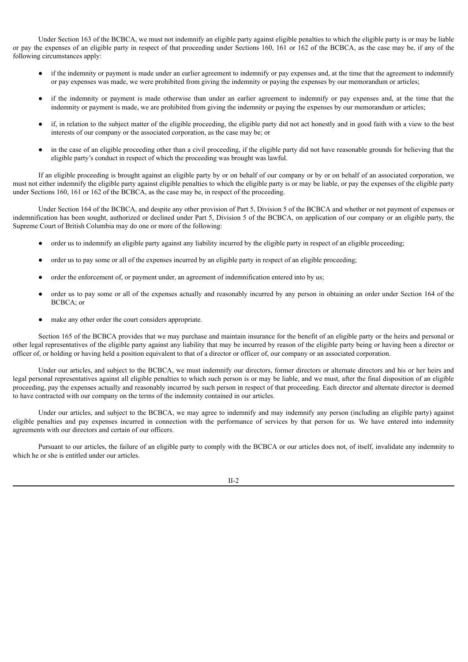Under Section 163 of the BCBCA, we must not indemnify an eligible party against eligible penalties to which the eligible party is or may be liable or pay the expenses of an eligible party in respect of that proceeding under Sections 160, 161 or 162 of the BCBCA, as the case may be, if any of the following circumstances apply:

- if the indemnity or payment is made under an earlier agreement to indemnify or pay expenses and, at the time that the agreement to indemnify or pay expenses was made, we were prohibited from giving the indemnity or paying the expenses by our memorandum or articles;
- if the indemnity or payment is made otherwise than under an earlier agreement to indemnify or pay expenses and, at the time that the indemnity or payment is made, we are prohibited from giving the indemnity or paying the expenses by our memorandum or articles;
- if, in relation to the subject matter of the eligible proceeding, the eligible party did not act honestly and in good faith with a view to the best interests of our company or the associated corporation, as the case may be; or
- in the case of an eligible proceeding other than a civil proceeding, if the eligible party did not have reasonable grounds for believing that the eligible party's conduct in respect of which the proceeding was brought was lawful.

If an eligible proceeding is brought against an eligible party by or on behalf of our company or by or on behalf of an associated corporation, we must not either indemnify the eligible party against eligible penalties to which the eligible party is or may be liable, or pay the expenses of the eligible party under Sections 160, 161 or 162 of the BCBCA, as the case may be, in respect of the proceeding.

Under Section 164 of the BCBCA, and despite any other provision of Part 5, Division 5 of the BCBCA and whether or not payment of expenses or indemnification has been sought, authorized or declined under Part 5, Division 5 of the BCBCA, on application of our company or an eligible party, the Supreme Court of British Columbia may do one or more of the following:

- order us to indemnify an eligible party against any liability incurred by the eligible party in respect of an eligible proceeding;
- order us to pay some or all of the expenses incurred by an eligible party in respect of an eligible proceeding;
- order the enforcement of, or payment under, an agreement of indemnification entered into by us;
- order us to pay some or all of the expenses actually and reasonably incurred by any person in obtaining an order under Section 164 of the BCBCA; or
- make any other order the court considers appropriate.

Section 165 of the BCBCA provides that we may purchase and maintain insurance for the benefit of an eligible party or the heirs and personal or other legal representatives of the eligible party against any liability that may be incurred by reason of the eligible party being or having been a director or officer of, or holding or having held a position equivalent to that of a director or officer of, our company or an associated corporation.

Under our articles, and subject to the BCBCA, we must indemnify our directors, former directors or alternate directors and his or her heirs and legal personal representatives against all eligible penalties to which such person is or may be liable, and we must, after the final disposition of an eligible proceeding, pay the expenses actually and reasonably incurred by such person in respect of that proceeding. Each director and alternate director is deemed to have contracted with our company on the terms of the indemnity contained in our articles.

Under our articles, and subject to the BCBCA, we may agree to indemnify and may indemnify any person (including an eligible party) against eligible penalties and pay expenses incurred in connection with the performance of services by that person for us. We have entered into indemnity agreements with our directors and certain of our officers.

Pursuant to our articles, the failure of an eligible party to comply with the BCBCA or our articles does not, of itself, invalidate any indemnity to which he or she is entitled under our articles.

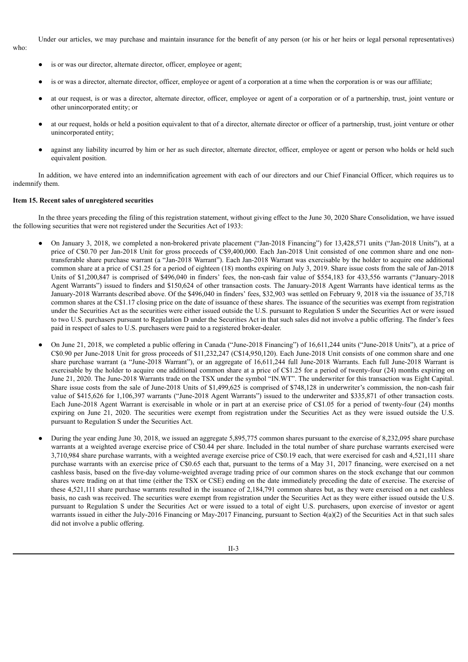Under our articles, we may purchase and maintain insurance for the benefit of any person (or his or her heirs or legal personal representatives)

- who:
- is or was our director, alternate director, officer, employee or agent;
- is or was a director, alternate director, officer, employee or agent of a corporation at a time when the corporation is or was our affiliate;
- at our request, is or was a director, alternate director, officer, employee or agent of a corporation or of a partnership, trust, joint venture or other unincorporated entity; or
- at our request, holds or held a position equivalent to that of a director, alternate director or officer of a partnership, trust, joint venture or other unincorporated entity;
- against any liability incurred by him or her as such director, alternate director, officer, employee or agent or person who holds or held such equivalent position.

In addition, we have entered into an indemnification agreement with each of our directors and our Chief Financial Officer, which requires us to indemnify them.

#### **Item 15. Recent sales of unregistered securities**

In the three years preceding the filing of this registration statement, without giving effect to the June 30, 2020 Share Consolidation, we have issued the following securities that were not registered under the Securities Act of 1933:

- On January 3, 2018, we completed a non-brokered private placement ("Jan-2018 Financing") for 13,428,571 units ("Jan-2018 Units"), at a price of C\$0.70 per Jan-2018 Unit for gross proceeds of C\$9,400,000. Each Jan-2018 Unit consisted of one common share and one nontransferable share purchase warrant (a "Jan-2018 Warrant"). Each Jan-2018 Warrant was exercisable by the holder to acquire one additional common share at a price of C\$1.25 for a period of eighteen (18) months expiring on July 3, 2019. Share issue costs from the sale of Jan-2018 Units of \$1,200,847 is comprised of \$496,040 in finders' fees, the non-cash fair value of \$554,183 for 433,556 warrants ("January-2018 Agent Warrants") issued to finders and \$150,624 of other transaction costs. The January-2018 Agent Warrants have identical terms as the January-2018 Warrants described above. Of the \$496,040 in finders' fees, \$32,903 was settled on February 9, 2018 via the issuance of 35,718 common shares at the C\$1.17 closing price on the date of issuance of these shares. The issuance of the securities was exempt from registration under the Securities Act as the securities were either issued outside the U.S. pursuant to Regulation S under the Securities Act or were issued to two U.S. purchasers pursuant to Regulation D under the Securities Act in that such sales did not involve a public offering. The finder's fees paid in respect of sales to U.S. purchasers were paid to a registered broker-dealer.
- On June 21, 2018, we completed a public offering in Canada ("June-2018 Financing") of 16,611,244 units ("June-2018 Units"), at a price of C\$0.90 per June-2018 Unit for gross proceeds of \$11,232,247 (C\$14,950,120). Each June-2018 Unit consists of one common share and one share purchase warrant (a "June-2018 Warrant"), or an aggregate of 16,611,244 full June-2018 Warrants. Each full June-2018 Warrant is exercisable by the holder to acquire one additional common share at a price of C\$1.25 for a period of twenty-four (24) months expiring on June 21, 2020. The June-2018 Warrants trade on the TSX under the symbol "IN.WT". The underwriter for this transaction was Eight Capital. Share issue costs from the sale of June-2018 Units of \$1,499,625 is comprised of \$748,128 in underwriter's commission, the non-cash fair value of \$415,626 for 1,106,397 warrants ("June-2018 Agent Warrants") issued to the underwriter and \$335,871 of other transaction costs. Each June-2018 Agent Warrant is exercisable in whole or in part at an exercise price of C\$1.05 for a period of twenty-four (24) months expiring on June 21, 2020. The securities were exempt from registration under the Securities Act as they were issued outside the U.S. pursuant to Regulation S under the Securities Act.
- During the year ending June 30, 2018, we issued an aggregate 5,895,775 common shares pursuant to the exercise of 8,232,095 share purchase warrants at a weighted average exercise price of C\$0.44 per share. Included in the total number of share purchase warrants exercised were 3,710,984 share purchase warrants, with a weighted average exercise price of C\$0.19 each, that were exercised for cash and 4,521,111 share purchase warrants with an exercise price of C\$0.65 each that, pursuant to the terms of a May 31, 2017 financing, were exercised on a net cashless basis, based on the five-day volume-weighted average trading price of our common shares on the stock exchange that our common shares were trading on at that time (either the TSX or CSE) ending on the date immediately preceding the date of exercise. The exercise of these 4,521,111 share purchase warrants resulted in the issuance of 2,184,791 common shares but, as they were exercised on a net cashless basis, no cash was received. The securities were exempt from registration under the Securities Act as they were either issued outside the U.S. pursuant to Regulation S under the Securities Act or were issued to a total of eight U.S. purchasers, upon exercise of investor or agent warrants issued in either the July-2016 Financing or May-2017 Financing, pursuant to Section 4(a)(2) of the Securities Act in that such sales did not involve a public offering.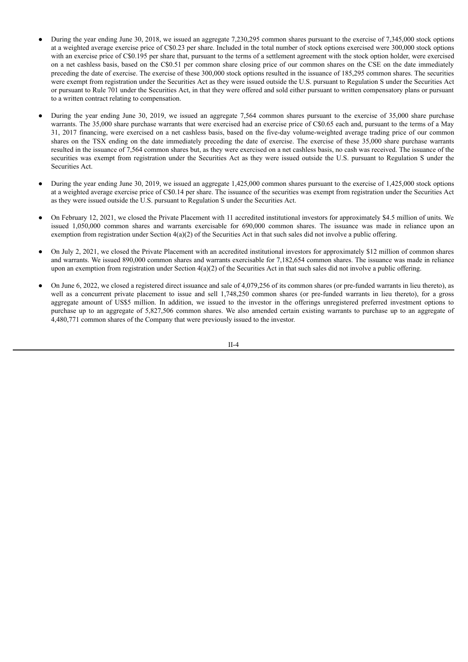- During the year ending June 30, 2018, we issued an aggregate 7,230,295 common shares pursuant to the exercise of 7,345,000 stock options at a weighted average exercise price of C\$0.23 per share. Included in the total number of stock options exercised were 300,000 stock options with an exercise price of C\$0.195 per share that, pursuant to the terms of a settlement agreement with the stock option holder, were exercised on a net cashless basis, based on the C\$0.51 per common share closing price of our common shares on the CSE on the date immediately preceding the date of exercise. The exercise of these 300,000 stock options resulted in the issuance of 185,295 common shares. The securities were exempt from registration under the Securities Act as they were issued outside the U.S. pursuant to Regulation S under the Securities Act or pursuant to Rule 701 under the Securities Act, in that they were offered and sold either pursuant to written compensatory plans or pursuant to a written contract relating to compensation.
- During the year ending June 30, 2019, we issued an aggregate 7,564 common shares pursuant to the exercise of 35,000 share purchase warrants. The 35,000 share purchase warrants that were exercised had an exercise price of C\$0.65 each and, pursuant to the terms of a May 31, 2017 financing, were exercised on a net cashless basis, based on the five-day volume-weighted average trading price of our common shares on the TSX ending on the date immediately preceding the date of exercise. The exercise of these 35,000 share purchase warrants resulted in the issuance of 7,564 common shares but, as they were exercised on a net cashless basis, no cash was received. The issuance of the securities was exempt from registration under the Securities Act as they were issued outside the U.S. pursuant to Regulation S under the Securities Act.
- During the year ending June 30, 2019, we issued an aggregate 1,425,000 common shares pursuant to the exercise of 1,425,000 stock options at a weighted average exercise price of C\$0.14 per share. The issuance of the securities was exempt from registration under the Securities Act as they were issued outside the U.S. pursuant to Regulation S under the Securities Act.
- On February 12, 2021, we closed the Private Placement with 11 accredited institutional investors for approximately \$4.5 million of units. We issued 1,050,000 common shares and warrants exercisable for 690,000 common shares. The issuance was made in reliance upon an exemption from registration under Section  $4(a)(2)$  of the Securities Act in that such sales did not involve a public offering.
- On July 2, 2021, we closed the Private Placement with an accredited institutional investors for approximately \$12 million of common shares and warrants. We issued 890,000 common shares and warrants exercisable for 7,182,654 common shares. The issuance was made in reliance upon an exemption from registration under Section  $4(a)(2)$  of the Securities Act in that such sales did not involve a public offering.
- On June 6, 2022, we closed a registered direct issuance and sale of 4,079,256 of its common shares (or pre-funded warrants in lieu thereto), as well as a concurrent private placement to issue and sell 1,748,250 common shares (or pre-funded warrants in lieu thereto), for a gross aggregate amount of US\$5 million. In addition, we issued to the investor in the offerings unregistered preferred investment options to purchase up to an aggregate of 5,827,506 common shares. We also amended certain existing warrants to purchase up to an aggregate of 4,480,771 common shares of the Company that were previously issued to the investor.

II-4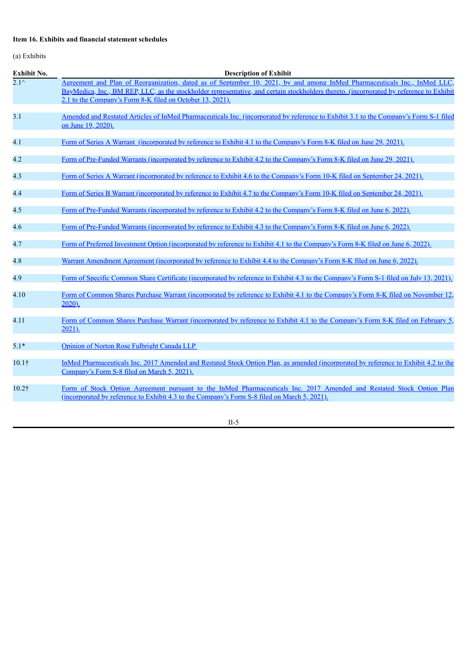# **Item 16. Exhibits and financial statement schedules**

(a) Exhibits

| Exhibit No.               | <b>Description of Exhibit</b>                                                                                                                                                                                                                                                                                                      |
|---------------------------|------------------------------------------------------------------------------------------------------------------------------------------------------------------------------------------------------------------------------------------------------------------------------------------------------------------------------------|
| $\overline{2.1}^{\wedge}$ | Agreement and Plan of Reorganization, dated as of September 10, 2021, by and among InMed Pharmaceuticals Inc., InMed LLC.<br>BayMedica, Inc., BM REP, LLC, as the stockholder representative, and certain stockholders thereto. (incorporated by reference to Exhibit<br>2.1 to the Company's Form 8-K filed on October 13, 2021). |
| 3.1                       | Amended and Restated Articles of InMed Pharmaceuticals Inc. (incorporated by reference to Exhibit 3.1 to the Company's Form S-1 filed<br>on June 19, 2020).                                                                                                                                                                        |
| 4.1                       | Form of Series A Warrant (incorporated by reference to Exhibit 4.1 to the Company's Form 8-K filed on June 29, 2021).                                                                                                                                                                                                              |
| 4.2                       | Form of Pre-Funded Warrants (incorporated by reference to Exhibit 4.2 to the Company's Form 8-K filed on June 29, 2021).                                                                                                                                                                                                           |
| 4.3                       | Form of Series A Warrant (incorporated by reference to Exhibit 4.6 to the Company's Form 10-K filed on September 24, 2021).                                                                                                                                                                                                        |
| 4.4                       | Form of Series B Warrant (incorporated by reference to Exhibit 4.7 to the Company's Form 10-K filed on September 24, 2021).                                                                                                                                                                                                        |
| 4.5                       | Form of Pre-Funded Warrants (incorporated by reference to Exhibit 4.2 to the Company's Form 8-K filed on June 6, 2022).                                                                                                                                                                                                            |
| 4.6                       | Form of Pre-Funded Warrants (incorporated by reference to Exhibit 4.3 to the Company's Form 8-K filed on June 6, 2022).                                                                                                                                                                                                            |
| 4.7                       | Form of Preferred Investment Option (incorporated by reference to Exhibit 4.1 to the Company's Form 8-K filed on June 6, 2022).                                                                                                                                                                                                    |
| 4.8                       | Warrant Amendment Agreement (incorporated by reference to Exhibit 4.4 to the Company's Form 8-K filed on June 6, 2022).                                                                                                                                                                                                            |
| 4.9                       | Form of Specific Common Share Certificate (incorporated by reference to Exhibit 4.3 to the Company's Form S-1 filed on July 13, 2021).                                                                                                                                                                                             |
| 4.10                      | Form of Common Shares Purchase Warrant (incorporated by reference to Exhibit 4.1 to the Company's Form 8-K filed on November 12.<br>2020).                                                                                                                                                                                         |
| 4.11                      | Form of Common Shares Purchase Warrant (incorporated by reference to Exhibit 4.1 to the Company's Form 8-K filed on February 5,<br>$2021$ ).                                                                                                                                                                                       |
| $5.1*$                    | Opinion of Norton Rose Fulbright Canada LLP                                                                                                                                                                                                                                                                                        |
| $10.1\dagger$             | InMed Pharmaceuticals Inc. 2017 Amended and Restated Stock Option Plan, as amended (incorporated by reference to Exhibit 4.2 to the<br>Company's Form S-8 filed on March 5, 2021).                                                                                                                                                 |
| 10.2†                     | Form of Stock Option Agreement pursuant to the InMed Pharmaceuticals Inc. 2017 Amended and Restated Stock Option Plan<br>(incorporated by reference to Exhibit 4.3 to the Company's Form S-8 filed on March 5, 2021).                                                                                                              |
|                           |                                                                                                                                                                                                                                                                                                                                    |

II-5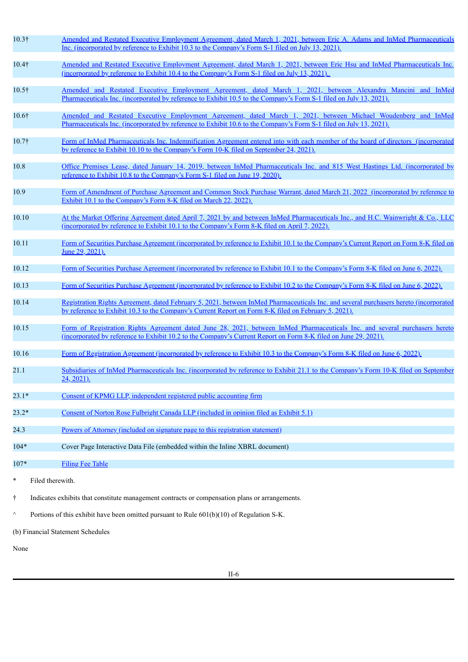| $10.3\dagger$ |                                   | Amended and Restated Executive Employment Agreement, dated March 1, 2021, between Eric A. Adams and InMed Pharmaceuticals<br>Inc. (incorporated by reference to Exhibit 10.3 to the Company's Form S-1 filed on July 13, 2021).                       |  |  |  |  |  |
|---------------|-----------------------------------|-------------------------------------------------------------------------------------------------------------------------------------------------------------------------------------------------------------------------------------------------------|--|--|--|--|--|
| 10.4†         |                                   | Amended and Restated Executive Employment Agreement, dated March 1, 2021, between Eric Hsu and InMed Pharmaceuticals Inc.<br><u>(incorporated by reference to Exhibit 10.4 to the Company's Form S-1 filed on July 13, 2021).</u>                     |  |  |  |  |  |
| 10.5†         |                                   | Amended and Restated Executive Employment Agreement, dated March 1, 2021, between Alexandra Mancini and InMed<br>Pharmaceuticals Inc. (incorporated by reference to Exhibit 10.5 to the Company's Form S-1 filed on July 13, 2021).                   |  |  |  |  |  |
| 10.6†         |                                   | Amended and Restated Executive Employment Agreement, dated March 1, 2021, between Michael Woudenberg and InMed<br>Pharmaceuticals Inc. (incorporated by reference to Exhibit 10.6 to the Company's Form S-1 filed on July 13, 2021).                  |  |  |  |  |  |
| 10.7†         |                                   | Form of InMed Pharmaceuticals Inc. Indemnification Agreement entered into with each member of the board of directors (incorporated<br>by reference to Exhibit 10.10 to the Company's Form 10-K filed on September 24, 2021).                          |  |  |  |  |  |
| 10.8          |                                   | Office Premises Lease, dated January 14, 2019, between InMed Pharmaceuticals Inc. and 815 West Hastings Ltd. (incorporated by<br>reference to Exhibit 10.8 to the Company's Form S-1 filed on June 19, 2020).                                         |  |  |  |  |  |
| 10.9          |                                   | Form of Amendment of Purchase Agreement and Common Stock Purchase Warrant, dated March 21, 2022 (incorporated by reference to<br>Exhibit 10.1 to the Company's Form 8-K filed on March 22, 2022).                                                     |  |  |  |  |  |
| 10.10         |                                   | At the Market Offering Agreement dated April 7, 2021 by and between InMed Pharmaceuticals Inc., and H.C. Wainwright & Co., LLC<br>(incorporated by reference to Exhibit 10.1 to the Company's Form 8-K filed on April 7, 2022).                       |  |  |  |  |  |
| 10.11         |                                   | Form of Securities Purchase Agreement (incorporated by reference to Exhibit 10.1 to the Company's Current Report on Form 8-K filed on<br>June 29, 2021).                                                                                              |  |  |  |  |  |
| 10.12         |                                   | Form of Securities Purchase Agreement (incorporated by reference to Exhibit 10.1 to the Company's Form 8-K filed on June 6, 2022).                                                                                                                    |  |  |  |  |  |
| 10.13         |                                   | Form of Securities Purchase Agreement (incorporated by reference to Exhibit 10.2 to the Company's Form 8-K filed on June 6, 2022).                                                                                                                    |  |  |  |  |  |
| 10.14         |                                   | Registration Rights Agreement, dated February 5, 2021, between InMed Pharmaceuticals Inc. and several purchasers hereto (incorporated<br>by reference to Exhibit 10.3 to the Company's Current Report on Form 8-K filed on February 5, 2021).         |  |  |  |  |  |
| 10.15         |                                   | Form of Registration Rights Agreement dated June 28, 2021, between InMed Pharmaceuticals Inc. and several purchasers hereto<br><u>(incorporated by reference to Exhibit 10.2 to the Company's Current Report on Form 8-K filed on June 29, 2021).</u> |  |  |  |  |  |
| 10.16         |                                   | Form of Registration Agreement (incorporated by reference to Exhibit 10.3 to the Company's Form 8-K filed on June 6, 2022).                                                                                                                           |  |  |  |  |  |
| 21.1          |                                   | Subsidiaries of InMed Pharmaceuticals Inc. (incorporated by reference to Exhibit 21.1 to the Company's Form 10-K filed on September<br>$24, 2021$ ).                                                                                                  |  |  |  |  |  |
| $23.1*$       |                                   | Consent of KPMG LLP, independent registered public accounting firm                                                                                                                                                                                    |  |  |  |  |  |
| $23.2*$       |                                   | Consent of Norton Rose Fulbright Canada LLP (included in opinion filed as Exhibit 5.1)                                                                                                                                                                |  |  |  |  |  |
| 24.3          |                                   | Powers of Attorney (included on signature page to this registration statement)                                                                                                                                                                        |  |  |  |  |  |
| $104*$        |                                   | Cover Page Interactive Data File (embedded within the Inline XBRL document)                                                                                                                                                                           |  |  |  |  |  |
| 107*          |                                   | <b>Filing Fee Table</b>                                                                                                                                                                                                                               |  |  |  |  |  |
| $\ast$        | Filed therewith.                  |                                                                                                                                                                                                                                                       |  |  |  |  |  |
| t             |                                   | Indicates exhibits that constitute management contracts or compensation plans or arrangements.                                                                                                                                                        |  |  |  |  |  |
| $\land$       |                                   | Portions of this exhibit have been omitted pursuant to Rule 601(b)(10) of Regulation S-K.                                                                                                                                                             |  |  |  |  |  |
|               | (b) Financial Statement Schedules |                                                                                                                                                                                                                                                       |  |  |  |  |  |
|               |                                   |                                                                                                                                                                                                                                                       |  |  |  |  |  |

None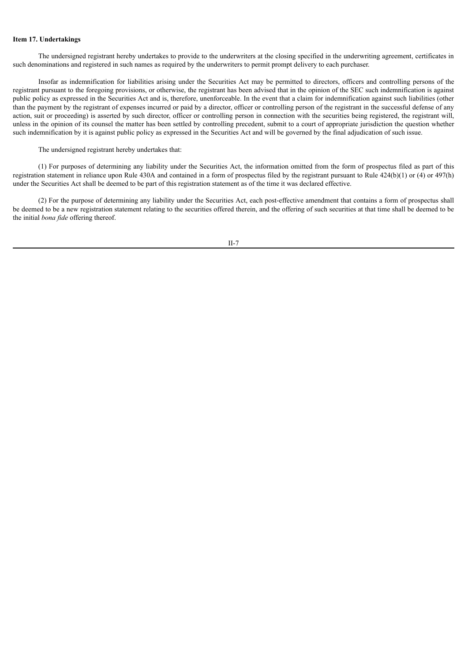# **Item 17. Undertakings**

The undersigned registrant hereby undertakes to provide to the underwriters at the closing specified in the underwriting agreement, certificates in such denominations and registered in such names as required by the underwriters to permit prompt delivery to each purchaser.

Insofar as indemnification for liabilities arising under the Securities Act may be permitted to directors, officers and controlling persons of the registrant pursuant to the foregoing provisions, or otherwise, the registrant has been advised that in the opinion of the SEC such indemnification is against public policy as expressed in the Securities Act and is, therefore, unenforceable. In the event that a claim for indemnification against such liabilities (other than the payment by the registrant of expenses incurred or paid by a director, officer or controlling person of the registrant in the successful defense of any action, suit or proceeding) is asserted by such director, officer or controlling person in connection with the securities being registered, the registrant will, unless in the opinion of its counsel the matter has been settled by controlling precedent, submit to a court of appropriate jurisdiction the question whether such indemnification by it is against public policy as expressed in the Securities Act and will be governed by the final adjudication of such issue.

The undersigned registrant hereby undertakes that:

(1) For purposes of determining any liability under the Securities Act, the information omitted from the form of prospectus filed as part of this registration statement in reliance upon Rule 430A and contained in a form of prospectus filed by the registrant pursuant to Rule 424(b)(1) or (4) or 497(h) under the Securities Act shall be deemed to be part of this registration statement as of the time it was declared effective.

(2) For the purpose of determining any liability under the Securities Act, each post-effective amendment that contains a form of prospectus shall be deemed to be a new registration statement relating to the securities offered therein, and the offering of such securities at that time shall be deemed to be the initial *bona fide* offering thereof.

II-7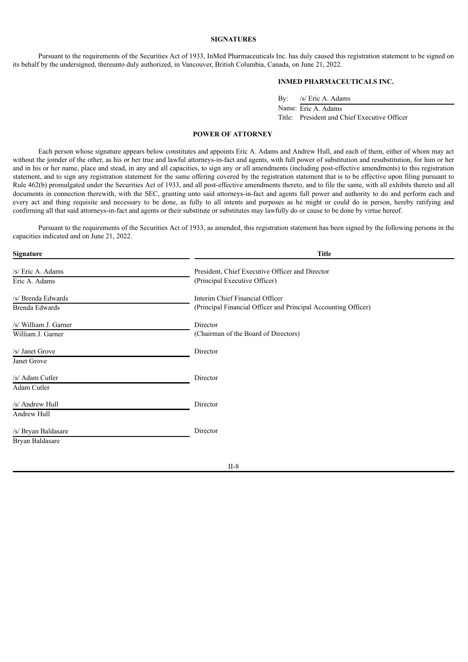#### **SIGNATURES**

Pursuant to the requirements of the Securities Act of 1933, InMed Pharmaceuticals Inc. has duly caused this registration statement to be signed on its behalf by the undersigned, thereunto duly authorized, in Vancouver, British Columbia, Canada, on June 21, 2022.

# **INMED PHARMACEUTICALS INC.**

By: /s/ Eric A. Adams

Name: Eric A. Adams Title: President and Chief Executive Officer

# **POWER OF ATTORNEY**

<span id="page-43-0"></span>Each person whose signature appears below constitutes and appoints Eric A. Adams and Andrew Hull, and each of them, either of whom may act without the joinder of the other, as his or her true and lawful attorneys-in-fact and agents, with full power of substitution and resubstitution, for him or her and in his or her name, place and stead, in any and all capacities, to sign any or all amendments (including post-effective amendments) to this registration statement, and to sign any registration statement for the same offering covered by the registration statement that is to be effective upon filing pursuant to Rule 462(b) promulgated under the Securities Act of 1933, and all post-effective amendments thereto, and to file the same, with all exhibits thereto and all documents in connection therewith, with the SEC, granting unto said attorneys-in-fact and agents full power and authority to do and perform each and every act and thing requisite and necessary to be done, as fully to all intents and purposes as he might or could do in person, hereby ratifying and confirming all that said attorneys-in-fact and agents or their substitute or substitutes may lawfully do or cause to be done by virtue hereof.

Pursuant to the requirements of the Securities Act of 1933, as amended, this registration statement has been signed by the following persons in the capacities indicated and on June 21, 2022.

| <b>Signature</b>                           | <b>Title</b>                                                                                      |
|--------------------------------------------|---------------------------------------------------------------------------------------------------|
| /s/ Eric A. Adams<br>Eric A. Adams         | President, Chief Executive Officer and Director<br>(Principal Executive Officer)                  |
| /s/ Brenda Edwards<br>Brenda Edwards       | Interim Chief Financial Officer<br>(Principal Financial Officer and Principal Accounting Officer) |
| /s/ William J. Garner<br>William J. Garner | Director<br>(Chairman of the Board of Directors)                                                  |
| /s/ Janet Grove<br>Janet Grove             | Director                                                                                          |
| /s/ Adam Cutler<br>Adam Cutler             | Director                                                                                          |
| /s/ Andrew Hull<br>Andrew Hull             | Director                                                                                          |
| /s/ Bryan Baldasare<br>Bryan Baldasare     | Director                                                                                          |
|                                            |                                                                                                   |

II-8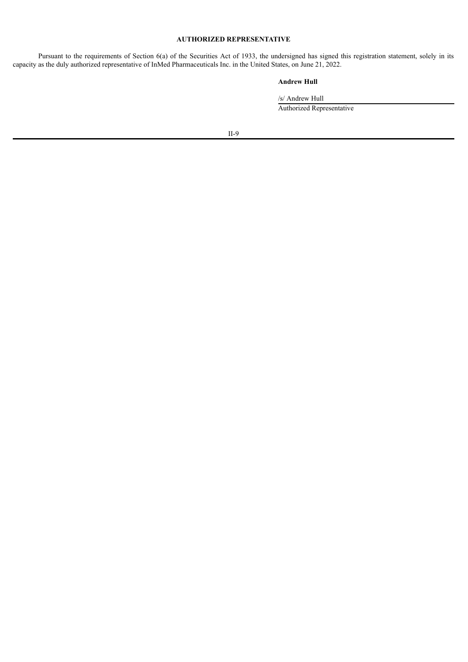# **AUTHORIZED REPRESENTATIVE**

Pursuant to the requirements of Section 6(a) of the Securities Act of 1933, the undersigned has signed this registration statement, solely in its capacity as the duly authorized representative of InMed Pharmaceuticals Inc. in the United States, on June 21, 2022.

# **Andrew Hull**

/s/ Andrew Hull Authorized Representative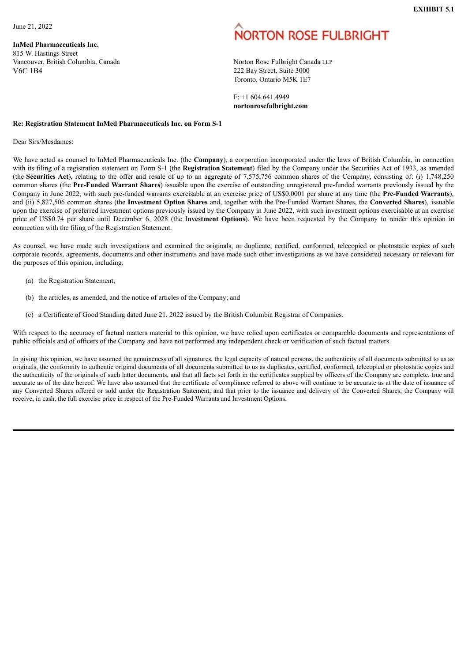<span id="page-45-0"></span>June 21, 2022

**InMed Pharmaceuticals Inc.** 815 W. Hastings Street Vancouver, British Columbia, Canada Norton Rose Fulbright Canada LLP V6C 1B4 222 Bay Street, Suite 3000

# **ORTON ROSE FULBRIGHT**

Toronto, Ontario M5K 1E7

F: +1 604.641.4949 **nortonrosefulbright.com**

# **Re: Registration Statement InMed Pharmaceuticals Inc. on Form S-1**

Dear Sirs/Mesdames:

We have acted as counsel to InMed Pharmaceuticals Inc. (the **Company**), a corporation incorporated under the laws of British Columbia, in connection with its filing of a registration statement on Form S-1 (the **Registration Statement**) filed by the Company under the Securities Act of 1933, as amended (the **Securities Act**), relating to the offer and resale of up to an aggregate of 7,575,756 common shares of the Company, consisting of: (i) 1,748,250 common shares (the **Pre-Funded Warrant Shares**) issuable upon the exercise of outstanding unregistered pre-funded warrants previously issued by the Company in June 2022, with such pre-funded warrants exercisable at an exercise price of US\$0.0001 per share at any time (the **Pre-Funded Warrants**), and (ii) 5,827,506 common shares (the **Investment Option Shares** and, together with the Pre-Funded Warrant Shares, the **Converted Shares**), issuable upon the exercise of preferred investment options previously issued by the Company in June 2022, with such investment options exercisable at an exercise price of US\$0.74 per share until December 6, 2028 (the I**nvestment Options**). We have been requested by the Company to render this opinion in connection with the filing of the Registration Statement.

As counsel, we have made such investigations and examined the originals, or duplicate, certified, conformed, telecopied or photostatic copies of such corporate records, agreements, documents and other instruments and have made such other investigations as we have considered necessary or relevant for the purposes of this opinion, including:

- (a) the Registration Statement;
- (b) the articles, as amended, and the notice of articles of the Company; and
- (c) a Certificate of Good Standing dated June 21, 2022 issued by the British Columbia Registrar of Companies.

With respect to the accuracy of factual matters material to this opinion, we have relied upon certificates or comparable documents and representations of public officials and of officers of the Company and have not performed any independent check or verification of such factual matters.

In giving this opinion, we have assumed the genuineness of all signatures, the legal capacity of natural persons, the authenticity of all documents submitted to us as originals, the conformity to authentic original documents of all documents submitted to us as duplicates, certified, conformed, telecopied or photostatic copies and the authenticity of the originals of such latter documents, and that all facts set forth in the certificates supplied by officers of the Company are complete, true and accurate as of the date hereof. We have also assumed that the certificate of compliance referred to above will continue to be accurate as at the date of issuance of any Converted Shares offered or sold under the Registration Statement, and that prior to the issuance and delivery of the Converted Shares, the Company will receive, in cash, the full exercise price in respect of the Pre-Funded Warrants and Investment Options.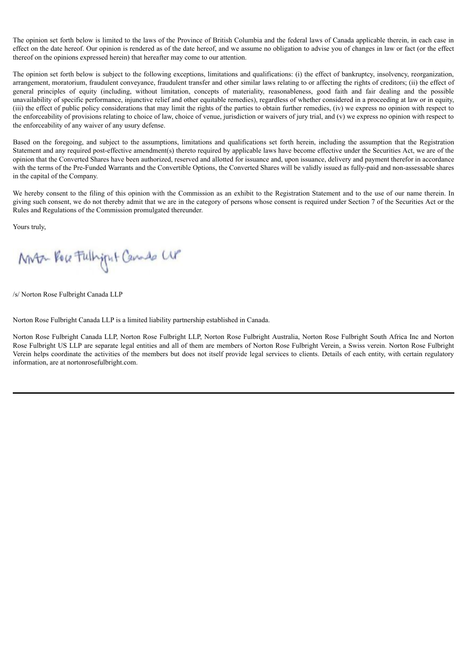The opinion set forth below is limited to the laws of the Province of British Columbia and the federal laws of Canada applicable therein, in each case in effect on the date hereof. Our opinion is rendered as of the date hereof, and we assume no obligation to advise you of changes in law or fact (or the effect thereof on the opinions expressed herein) that hereafter may come to our attention.

The opinion set forth below is subject to the following exceptions, limitations and qualifications: (i) the effect of bankruptcy, insolvency, reorganization, arrangement, moratorium, fraudulent conveyance, fraudulent transfer and other similar laws relating to or affecting the rights of creditors; (ii) the effect of general principles of equity (including, without limitation, concepts of materiality, reasonableness, good faith and fair dealing and the possible unavailability of specific performance, injunctive relief and other equitable remedies), regardless of whether considered in a proceeding at law or in equity,  $(iii)$  the effect of public policy considerations that may limit the rights of the parties to obtain further remedies,  $(iv)$  we express no opinion with respect to the enforceability of provisions relating to choice of law, choice of venue, jurisdiction or waivers of jury trial, and (v) we express no opinion with respect to the enforceability of any waiver of any usury defense.

Based on the foregoing, and subject to the assumptions, limitations and qualifications set forth herein, including the assumption that the Registration Statement and any required post-effective amendment(s) thereto required by applicable laws have become effective under the Securities Act, we are of the opinion that the Converted Shares have been authorized, reserved and allotted for issuance and, upon issuance, delivery and payment therefor in accordance with the terms of the Pre-Funded Warrants and the Convertible Options, the Converted Shares will be validly issued as fully-paid and non-assessable shares in the capital of the Company.

We hereby consent to the filing of this opinion with the Commission as an exhibit to the Registration Statement and to the use of our name therein. In giving such consent, we do not thereby admit that we are in the category of persons whose consent is required under Section 7 of the Securities Act or the Rules and Regulations of the Commission promulgated thereunder.

Yours truly,

MAT Por Fullyput Canado UP

/s/ Norton Rose Fulbright Canada LLP

Norton Rose Fulbright Canada LLP is a limited liability partnership established in Canada.

Norton Rose Fulbright Canada LLP, Norton Rose Fulbright LLP, Norton Rose Fulbright Australia, Norton Rose Fulbright South Africa Inc and Norton Rose Fulbright US LLP are separate legal entities and all of them are members of Norton Rose Fulbright Verein, a Swiss verein. Norton Rose Fulbright Verein helps coordinate the activities of the members but does not itself provide legal services to clients. Details of each entity, with certain regulatory information, are at nortonrosefulbright.com.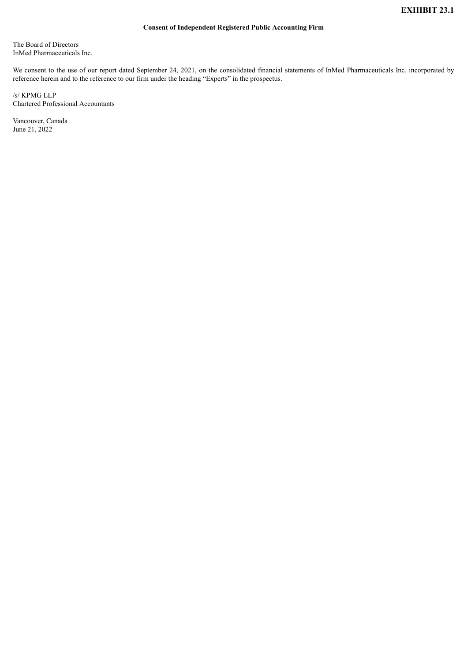# **Consent of Independent Registered Public Accounting Firm**

<span id="page-47-0"></span>The Board of Directors InMed Pharmaceuticals Inc.

We consent to the use of our report dated September 24, 2021, on the consolidated financial statements of InMed Pharmaceuticals Inc. incorporated by reference herein and to the reference to our firm under the heading "Experts" in the prospectus.

/s/ KPMG LLP Chartered Professional Accountants

Vancouver, Canada June 21, 2022